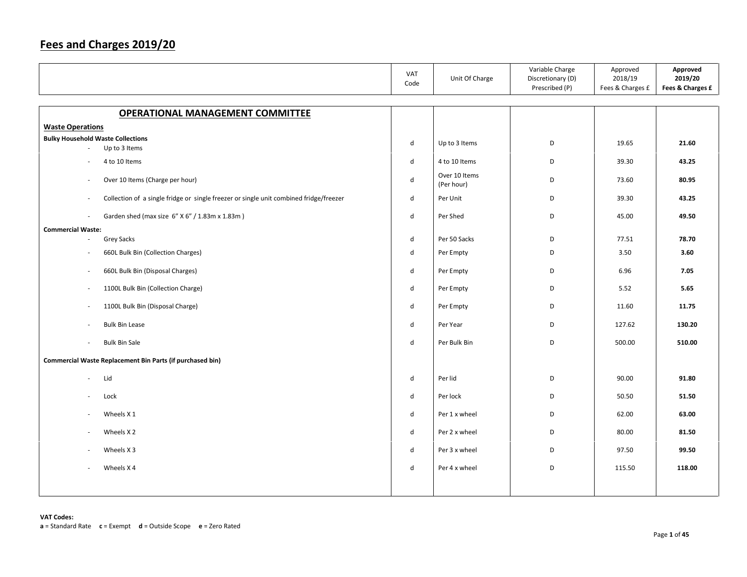|                                                                                        | VAT<br>Code                 | Unit Of Charge              | Variable Charge<br>Discretionary (D)<br>Prescribed (P) | Approved<br>2018/19<br>Fees & Charges £ | Approved<br>2019/20<br>Fees & Charges £ |
|----------------------------------------------------------------------------------------|-----------------------------|-----------------------------|--------------------------------------------------------|-----------------------------------------|-----------------------------------------|
| <b>OPERATIONAL MANAGEMENT COMMITTEE</b>                                                |                             |                             |                                                        |                                         |                                         |
| <b>Waste Operations</b>                                                                |                             |                             |                                                        |                                         |                                         |
| <b>Bulky Household Waste Collections</b>                                               | d                           | Up to 3 Items               | D                                                      | 19.65                                   | 21.60                                   |
| Up to 3 Items                                                                          |                             |                             |                                                        |                                         |                                         |
| 4 to 10 Items                                                                          | d                           | 4 to 10 Items               | D                                                      | 39.30                                   | 43.25                                   |
| Over 10 Items (Charge per hour)<br>$\sim$                                              | $\mathsf{d}$                | Over 10 Items<br>(Per hour) | D                                                      | 73.60                                   | 80.95                                   |
| Collection of a single fridge or single freezer or single unit combined fridge/freezer | d                           | Per Unit                    | D                                                      | 39.30                                   | 43.25                                   |
| Garden shed (max size 6" X 6" / 1.83m x 1.83m)                                         | d                           | Per Shed                    | D                                                      | 45.00                                   | 49.50                                   |
| <b>Commercial Waste:</b>                                                               |                             |                             |                                                        |                                         |                                         |
| Grey Sacks<br>$\sim$                                                                   | d                           | Per 50 Sacks                | D                                                      | 77.51                                   | 78.70                                   |
| 660L Bulk Bin (Collection Charges)<br>$\overline{\phantom{a}}$                         | $\mathsf{d}$                | Per Empty                   | D                                                      | 3.50                                    | 3.60                                    |
| 660L Bulk Bin (Disposal Charges)<br>$\overline{\phantom{a}}$                           | d                           | Per Empty                   | D                                                      | 6.96                                    | 7.05                                    |
| 1100L Bulk Bin (Collection Charge)<br>$\sim$                                           | d                           | Per Empty                   | D                                                      | 5.52                                    | 5.65                                    |
| 1100L Bulk Bin (Disposal Charge)<br>$\sim$                                             | d                           | Per Empty                   | D                                                      | 11.60                                   | 11.75                                   |
| <b>Bulk Bin Lease</b>                                                                  | d                           | Per Year                    | D                                                      | 127.62                                  | 130.20                                  |
| <b>Bulk Bin Sale</b><br>$\sim$                                                         | $\mathsf{d}$                | Per Bulk Bin                | D                                                      | 500.00                                  | 510.00                                  |
| Commercial Waste Replacement Bin Parts (if purchased bin)                              |                             |                             |                                                        |                                         |                                         |
| Lid<br>$\sim$                                                                          | d                           | Per lid                     | D                                                      | 90.00                                   | 91.80                                   |
| Lock                                                                                   | $\operatorname{\mathsf{d}}$ | Per lock                    | D                                                      | 50.50                                   | 51.50                                   |
| Wheels X 1<br>$\sim$                                                                   | d                           | Per 1 x wheel               | D                                                      | 62.00                                   | 63.00                                   |
| Wheels X <sub>2</sub>                                                                  | d                           | Per 2 x wheel               | D                                                      | 80.00                                   | 81.50                                   |
| Wheels X 3                                                                             | d                           | Per 3 x wheel               | D                                                      | 97.50                                   | 99.50                                   |
| Wheels X4                                                                              | d                           | Per 4 x wheel               | D                                                      | 115.50                                  | 118.00                                  |
|                                                                                        |                             |                             |                                                        |                                         |                                         |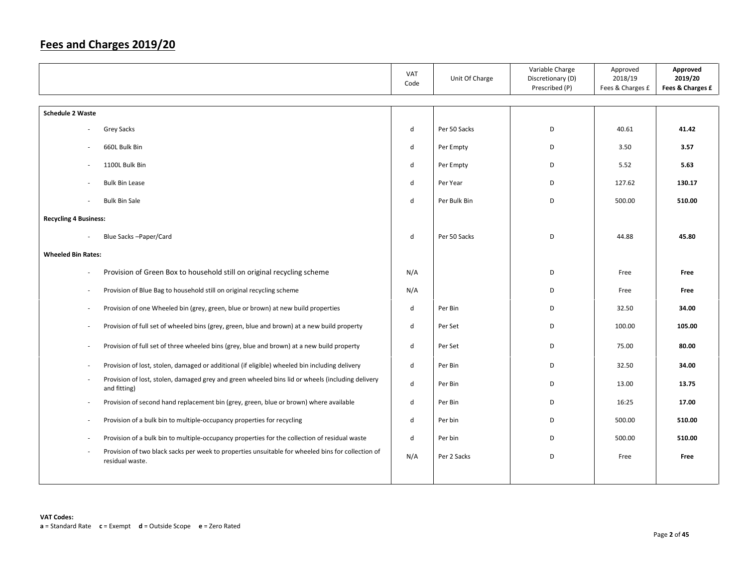|                              |                                                                                                                      | VAT<br>Code  | Unit Of Charge | Variable Charge<br>Discretionary (D)<br>Prescribed (P) | Approved<br>2018/19<br>Fees & Charges £ | Approved<br>2019/20<br>Fees & Charges £ |
|------------------------------|----------------------------------------------------------------------------------------------------------------------|--------------|----------------|--------------------------------------------------------|-----------------------------------------|-----------------------------------------|
| <b>Schedule 2 Waste</b>      |                                                                                                                      |              |                |                                                        |                                         |                                         |
|                              | Grey Sacks                                                                                                           | d            | Per 50 Sacks   | D                                                      | 40.61                                   | 41.42                                   |
|                              | 660L Bulk Bin                                                                                                        | d            | Per Empty      | D                                                      | 3.50                                    | 3.57                                    |
|                              | 1100L Bulk Bin                                                                                                       | d            | Per Empty      | D                                                      | 5.52                                    | 5.63                                    |
|                              | <b>Bulk Bin Lease</b>                                                                                                | d            | Per Year       | D                                                      | 127.62                                  | 130.17                                  |
|                              | <b>Bulk Bin Sale</b>                                                                                                 | d            | Per Bulk Bin   | D                                                      | 500.00                                  | 510.00                                  |
| <b>Recycling 4 Business:</b> |                                                                                                                      |              |                |                                                        |                                         |                                         |
|                              | Blue Sacks - Paper/Card                                                                                              | d            | Per 50 Sacks   | D                                                      | 44.88                                   | 45.80                                   |
| <b>Wheeled Bin Rates:</b>    |                                                                                                                      |              |                |                                                        |                                         |                                         |
|                              | Provision of Green Box to household still on original recycling scheme                                               | N/A          |                | D                                                      | Free                                    | Free                                    |
|                              | Provision of Blue Bag to household still on original recycling scheme                                                | N/A          |                | D                                                      | Free                                    | Free                                    |
|                              | Provision of one Wheeled bin (grey, green, blue or brown) at new build properties                                    | d            | Per Bin        | D                                                      | 32.50                                   | 34.00                                   |
| $\overline{\phantom{a}}$     | Provision of full set of wheeled bins (grey, green, blue and brown) at a new build property                          | d            | Per Set        | D                                                      | 100.00                                  | 105.00                                  |
| $\overline{\phantom{a}}$     | Provision of full set of three wheeled bins (grey, blue and brown) at a new build property                           | $\mathsf{d}$ | Per Set        | D                                                      | 75.00                                   | 80.00                                   |
| $\overline{\phantom{a}}$     | Provision of lost, stolen, damaged or additional (if eligible) wheeled bin including delivery                        | d            | Per Bin        | D                                                      | 32.50                                   | 34.00                                   |
| ÷.                           | Provision of lost, stolen, damaged grey and green wheeled bins lid or wheels (including delivery<br>and fitting)     | d            | Per Bin        | D                                                      | 13.00                                   | 13.75                                   |
| $\overline{\phantom{a}}$     | Provision of second hand replacement bin (grey, green, blue or brown) where available                                | d            | Per Bin        | D                                                      | 16:25                                   | 17.00                                   |
|                              | Provision of a bulk bin to multiple-occupancy properties for recycling                                               | d            | Per bin        | D                                                      | 500.00                                  | 510.00                                  |
|                              | Provision of a bulk bin to multiple-occupancy properties for the collection of residual waste                        | d            | Per bin        | D                                                      | 500.00                                  | 510.00                                  |
|                              | Provision of two black sacks per week to properties unsuitable for wheeled bins for collection of<br>residual waste. | N/A          | Per 2 Sacks    | D                                                      | Free                                    | Free                                    |
|                              |                                                                                                                      |              |                |                                                        |                                         |                                         |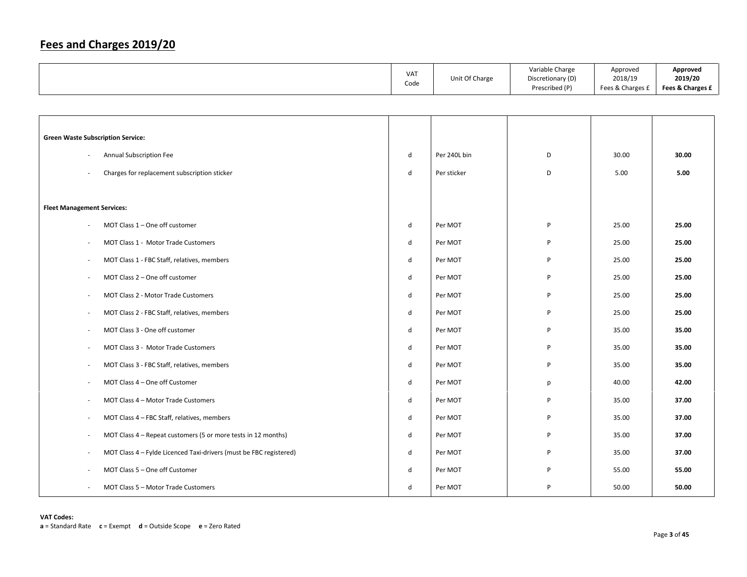|                                                                    | VAT<br>Code  | Unit Of Charge | Variable Charge<br>Discretionary (D)<br>Prescribed (P) | Approved<br>2018/19<br>Fees & Charges £ | Approved<br>2019/20<br>Fees & Charges £ |
|--------------------------------------------------------------------|--------------|----------------|--------------------------------------------------------|-----------------------------------------|-----------------------------------------|
|                                                                    |              |                |                                                        |                                         |                                         |
|                                                                    |              |                |                                                        |                                         |                                         |
| <b>Green Waste Subscription Service:</b>                           |              |                |                                                        |                                         |                                         |
| Annual Subscription Fee                                            | $\sf d$      | Per 240L bin   | D                                                      | 30.00                                   | 30.00                                   |
| Charges for replacement subscription sticker                       | $\sf d$      | Per sticker    | D                                                      | 5.00                                    | 5.00                                    |
|                                                                    |              |                |                                                        |                                         |                                         |
| <b>Fleet Management Services:</b>                                  |              |                |                                                        |                                         |                                         |
| MOT Class 1 - One off customer                                     | ${\sf d}$    | Per MOT        | P                                                      | 25.00                                   | 25.00                                   |
| MOT Class 1 - Motor Trade Customers                                | d            | Per MOT        | P                                                      | 25.00                                   | 25.00                                   |
| MOT Class 1 - FBC Staff, relatives, members                        | $\sf d$      | Per MOT        | P                                                      | 25.00                                   | 25.00                                   |
| MOT Class 2 - One off customer                                     | d            | Per MOT        | P                                                      | 25.00                                   | 25.00                                   |
| MOT Class 2 - Motor Trade Customers                                | $\sf d$      | Per MOT        | P                                                      | 25.00                                   | 25.00                                   |
| MOT Class 2 - FBC Staff, relatives, members                        | d            | Per MOT        | P                                                      | 25.00                                   | 25.00                                   |
| MOT Class 3 - One off customer                                     | $\sf d$      | Per MOT        | P                                                      | 35.00                                   | 35.00                                   |
| MOT Class 3 - Motor Trade Customers                                | d            | Per MOT        | P                                                      | 35.00                                   | 35.00                                   |
| MOT Class 3 - FBC Staff, relatives, members                        | $\sf d$      | Per MOT        | P                                                      | 35.00                                   | 35.00                                   |
| MOT Class 4 - One off Customer                                     | d            | Per MOT        | р                                                      | 40.00                                   | 42.00                                   |
| MOT Class 4 - Motor Trade Customers                                | d            | Per MOT        | P                                                      | 35.00                                   | 37.00                                   |
| MOT Class 4 - FBC Staff, relatives, members                        | d            | Per MOT        | P                                                      | 35.00                                   | 37.00                                   |
| MOT Class 4 - Repeat customers (5 or more tests in 12 months)      | d            | Per MOT        | P                                                      | 35.00                                   | 37.00                                   |
| MOT Class 4 - Fylde Licenced Taxi-drivers (must be FBC registered) | $\mathsf{d}$ | Per MOT        | P                                                      | 35.00                                   | 37.00                                   |
| MOT Class 5 - One off Customer                                     | d            | Per MOT        | P                                                      | 55.00                                   | 55.00                                   |
| MOT Class 5 - Motor Trade Customers                                | $\mathsf{d}$ | Per MOT        | P                                                      | 50.00                                   | 50.00                                   |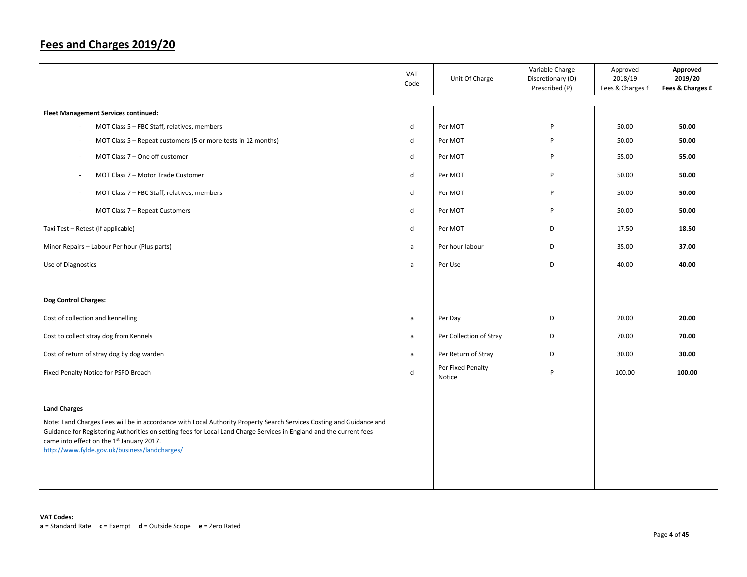|                                                                                                                                                                                                                                                                                          | VAT<br>Code | Unit Of Charge              | Variable Charge<br>Discretionary (D)<br>Prescribed (P) | Approved<br>2018/19<br>Fees & Charges £ | Approved<br>2019/20<br>Fees & Charges £ |
|------------------------------------------------------------------------------------------------------------------------------------------------------------------------------------------------------------------------------------------------------------------------------------------|-------------|-----------------------------|--------------------------------------------------------|-----------------------------------------|-----------------------------------------|
| Fleet Management Services continued:                                                                                                                                                                                                                                                     |             |                             |                                                        |                                         |                                         |
| MOT Class 5 - FBC Staff, relatives, members                                                                                                                                                                                                                                              | d           | Per MOT                     | P                                                      | 50.00                                   | 50.00                                   |
| MOT Class 5 - Repeat customers (5 or more tests in 12 months)                                                                                                                                                                                                                            | d           | Per MOT                     | P                                                      | 50.00                                   | 50.00                                   |
| MOT Class 7 - One off customer                                                                                                                                                                                                                                                           | d           | Per MOT                     | P                                                      | 55.00                                   | 55.00                                   |
| MOT Class 7 - Motor Trade Customer                                                                                                                                                                                                                                                       | d           | Per MOT                     | P                                                      | 50.00                                   | 50.00                                   |
| MOT Class 7 - FBC Staff, relatives, members                                                                                                                                                                                                                                              | d           | Per MOT                     | P                                                      | 50.00                                   | 50.00                                   |
| MOT Class 7 - Repeat Customers                                                                                                                                                                                                                                                           | d           | Per MOT                     | P                                                      | 50.00                                   | 50.00                                   |
| Taxi Test - Retest (If applicable)                                                                                                                                                                                                                                                       | d           | Per MOT                     | D                                                      | 17.50                                   | 18.50                                   |
| Minor Repairs - Labour Per hour (Plus parts)                                                                                                                                                                                                                                             | a           | Per hour labour             | D                                                      | 35.00                                   | 37.00                                   |
| Use of Diagnostics                                                                                                                                                                                                                                                                       | a           | Per Use                     | D                                                      | 40.00                                   | 40.00                                   |
|                                                                                                                                                                                                                                                                                          |             |                             |                                                        |                                         |                                         |
| Dog Control Charges:                                                                                                                                                                                                                                                                     |             |                             |                                                        |                                         |                                         |
| Cost of collection and kennelling                                                                                                                                                                                                                                                        | a           | Per Day                     | D                                                      | 20.00                                   | 20.00                                   |
| Cost to collect stray dog from Kennels                                                                                                                                                                                                                                                   | a           | Per Collection of Stray     | D                                                      | 70.00                                   | 70.00                                   |
| Cost of return of stray dog by dog warden                                                                                                                                                                                                                                                | a           | Per Return of Stray         | D                                                      | 30.00                                   | 30.00                                   |
| Fixed Penalty Notice for PSPO Breach                                                                                                                                                                                                                                                     | $\sf d$     | Per Fixed Penalty<br>Notice | P                                                      | 100.00                                  | 100.00                                  |
|                                                                                                                                                                                                                                                                                          |             |                             |                                                        |                                         |                                         |
| <b>Land Charges</b>                                                                                                                                                                                                                                                                      |             |                             |                                                        |                                         |                                         |
| Note: Land Charges Fees will be in accordance with Local Authority Property Search Services Costing and Guidance and<br>Guidance for Registering Authorities on setting fees for Local Land Charge Services in England and the current fees<br>came into effect on the 1st January 2017. |             |                             |                                                        |                                         |                                         |
| http://www.fylde.gov.uk/business/landcharges/                                                                                                                                                                                                                                            |             |                             |                                                        |                                         |                                         |
|                                                                                                                                                                                                                                                                                          |             |                             |                                                        |                                         |                                         |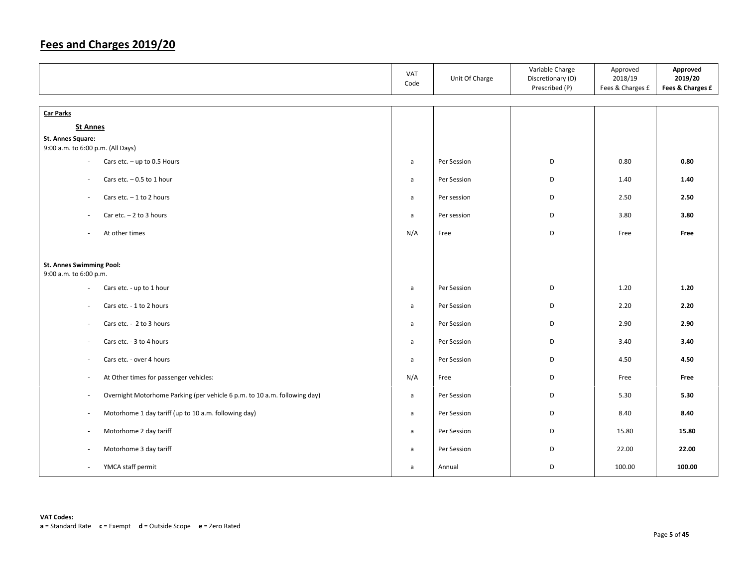|                                                                                                       | VAT<br>Code  | Unit Of Charge | Variable Charge<br>Discretionary (D)<br>Prescribed (P) | Approved<br>2018/19<br>Fees & Charges £ | Approved<br>2019/20<br>Fees & Charges £ |
|-------------------------------------------------------------------------------------------------------|--------------|----------------|--------------------------------------------------------|-----------------------------------------|-----------------------------------------|
| <b>Car Parks</b>                                                                                      |              |                |                                                        |                                         |                                         |
| <b>St Annes</b>                                                                                       |              |                |                                                        |                                         |                                         |
| <b>St. Annes Square:</b><br>9:00 a.m. to 6:00 p.m. (All Days)                                         |              |                |                                                        |                                         |                                         |
| Cars etc. $-$ up to 0.5 Hours<br>$\overline{\phantom{a}}$                                             | a            | Per Session    | D                                                      | 0.80                                    | 0.80                                    |
| Cars etc. $-0.5$ to 1 hour<br>$\sim$                                                                  | $\mathsf{a}$ | Per Session    | D                                                      | 1.40                                    | 1.40                                    |
| Cars etc. $-1$ to 2 hours<br>$\sim$                                                                   | $\mathsf{a}$ | Per session    | D                                                      | 2.50                                    | 2.50                                    |
| Car etc. $-2$ to 3 hours<br>$\overline{\phantom{a}}$                                                  | $\mathsf{a}$ | Per session    | D                                                      | 3.80                                    | 3.80                                    |
| At other times<br>$\overline{\phantom{a}}$                                                            | N/A          | Free           | D                                                      | Free                                    | Free                                    |
| St. Annes Swimming Pool:<br>9:00 a.m. to 6:00 p.m.                                                    |              |                |                                                        |                                         |                                         |
| Cars etc. - up to 1 hour<br>$\overline{\phantom{a}}$                                                  | a            | Per Session    | D                                                      | 1.20                                    | 1.20                                    |
| Cars etc. - 1 to 2 hours<br>$\sim$                                                                    | a            | Per Session    | D                                                      | 2.20                                    | 2.20                                    |
| Cars etc. - 2 to 3 hours<br>$\overline{\phantom{a}}$                                                  | a            | Per Session    | D                                                      | 2.90                                    | 2.90                                    |
| Cars etc. - 3 to 4 hours<br>$\overline{\phantom{a}}$                                                  | a            | Per Session    | D                                                      | 3.40                                    | 3.40                                    |
| Cars etc. - over 4 hours<br>$\overline{\phantom{a}}$                                                  | a            | Per Session    | D                                                      | 4.50                                    | 4.50                                    |
| At Other times for passenger vehicles:<br>$\sim$                                                      | N/A          | Free           | D                                                      | Free                                    | Free                                    |
| Overnight Motorhome Parking (per vehicle 6 p.m. to 10 a.m. following day)<br>$\overline{\phantom{a}}$ | $\mathsf{a}$ | Per Session    | D                                                      | 5.30                                    | 5.30                                    |
| Motorhome 1 day tariff (up to 10 a.m. following day)<br>$\sim$                                        | $\mathsf{a}$ | Per Session    | D                                                      | 8.40                                    | 8.40                                    |
| Motorhome 2 day tariff<br>$\sim$                                                                      | a            | Per Session    | D                                                      | 15.80                                   | 15.80                                   |
| Motorhome 3 day tariff<br>$\overline{\phantom{a}}$                                                    | a            | Per Session    | D                                                      | 22.00                                   | 22.00                                   |
| YMCA staff permit<br>$\overline{\phantom{a}}$                                                         | $\mathsf{a}$ | Annual         | D                                                      | 100.00                                  | 100.00                                  |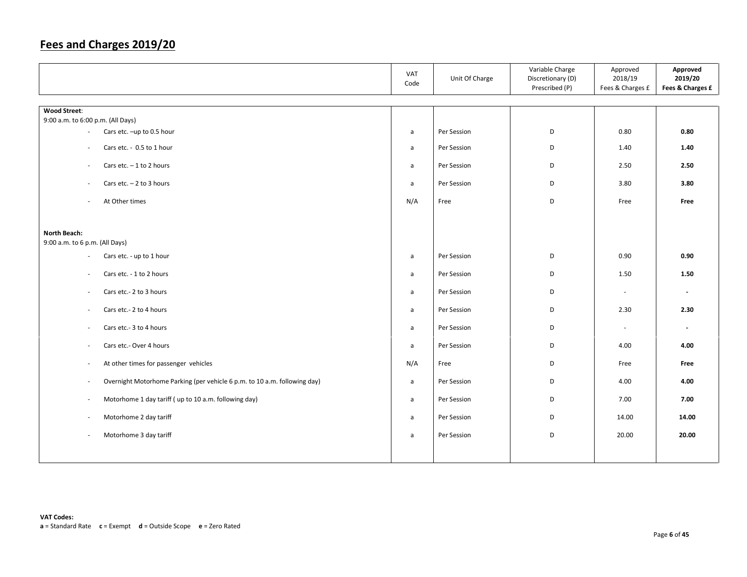|                                                                                                       | VAT<br>Code  | Unit Of Charge | Variable Charge<br>Discretionary (D)<br>Prescribed (P) | Approved<br>2018/19<br>Fees & Charges £ | Approved<br>2019/20<br>Fees & Charges £ |
|-------------------------------------------------------------------------------------------------------|--------------|----------------|--------------------------------------------------------|-----------------------------------------|-----------------------------------------|
|                                                                                                       |              |                |                                                        |                                         |                                         |
| <b>Wood Street:</b><br>9:00 a.m. to 6:00 p.m. (All Days)                                              |              |                |                                                        |                                         |                                         |
| Cars etc. -up to 0.5 hour<br>$\overline{\phantom{a}}$                                                 | a            | Per Session    | D                                                      | 0.80                                    | 0.80                                    |
|                                                                                                       |              |                |                                                        |                                         |                                         |
| Cars etc. - 0.5 to 1 hour<br>$\overline{\phantom{a}}$                                                 | a            | Per Session    | D                                                      | 1.40                                    | 1.40                                    |
| Cars etc. $-1$ to 2 hours<br>$\overline{\phantom{a}}$                                                 | a            | Per Session    | D                                                      | 2.50                                    | 2.50                                    |
| Cars etc. $-2$ to 3 hours<br>$\overline{\phantom{a}}$                                                 | a            | Per Session    | D                                                      | 3.80                                    | 3.80                                    |
| At Other times<br>$\overline{\phantom{a}}$                                                            | N/A          | Free           | D                                                      | Free                                    | Free                                    |
|                                                                                                       |              |                |                                                        |                                         |                                         |
| North Beach:<br>9:00 a.m. to 6 p.m. (All Days)                                                        |              |                |                                                        |                                         |                                         |
| Cars etc. - up to 1 hour<br>$\overline{\phantom{a}}$                                                  | a            | Per Session    | D                                                      | 0.90                                    | 0.90                                    |
| Cars etc. - 1 to 2 hours<br>$\overline{\phantom{a}}$                                                  | a            | Per Session    | D                                                      | 1.50                                    | 1.50                                    |
| Cars etc.- 2 to 3 hours<br>$\overline{\phantom{a}}$                                                   | a            | Per Session    | D                                                      | $\sim$                                  | $\blacksquare$                          |
| Cars etc.- 2 to 4 hours<br>$\overline{\phantom{a}}$                                                   | a            | Per Session    | D                                                      | 2.30                                    | 2.30                                    |
| Cars etc.- 3 to 4 hours<br>$\overline{\phantom{a}}$                                                   | a            | Per Session    | D                                                      | $\sim$                                  | $\sim$                                  |
| Cars etc.- Over 4 hours<br>$\overline{\phantom{a}}$                                                   | $\mathsf{a}$ | Per Session    | D                                                      | 4.00                                    | 4.00                                    |
| At other times for passenger vehicles<br>$\overline{\phantom{a}}$                                     | N/A          | Free           | D                                                      | Free                                    | Free                                    |
| Overnight Motorhome Parking (per vehicle 6 p.m. to 10 a.m. following day)<br>$\overline{\phantom{a}}$ | $\mathsf{a}$ | Per Session    | D                                                      | 4.00                                    | 4.00                                    |
| Motorhome 1 day tariff (up to 10 a.m. following day)<br>$\overline{\phantom{a}}$                      | $\mathsf{a}$ | Per Session    | D                                                      | 7.00                                    | 7.00                                    |
| Motorhome 2 day tariff<br>$\overline{\phantom{a}}$                                                    | a            | Per Session    | D                                                      | 14.00                                   | 14.00                                   |
| Motorhome 3 day tariff<br>$\sim$                                                                      | a            | Per Session    | D                                                      | 20.00                                   | 20.00                                   |
|                                                                                                       |              |                |                                                        |                                         |                                         |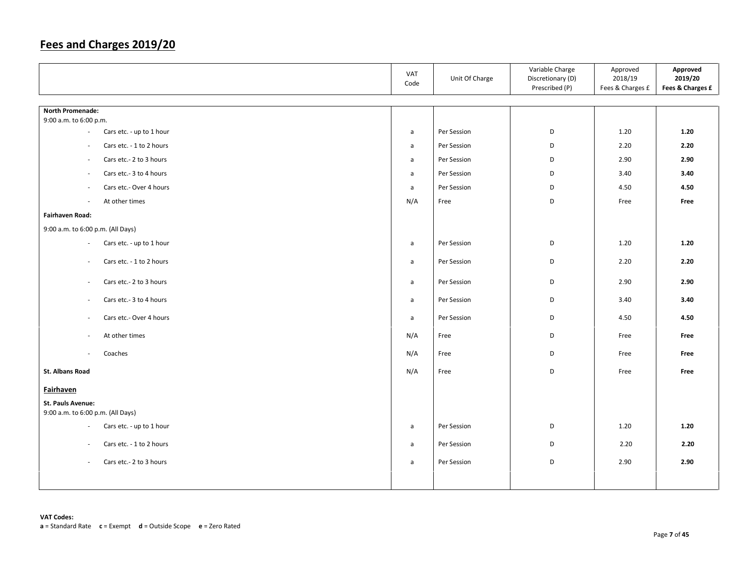|                                                      | VAT<br>Code  | Unit Of Charge | Variable Charge<br>Discretionary (D)<br>Prescribed (P) | Approved<br>2018/19<br>Fees & Charges £ | Approved<br>2019/20<br>Fees & Charges £ |
|------------------------------------------------------|--------------|----------------|--------------------------------------------------------|-----------------------------------------|-----------------------------------------|
|                                                      |              |                |                                                        |                                         |                                         |
| <b>North Promenade:</b><br>9:00 a.m. to 6:00 p.m.    |              |                |                                                        |                                         |                                         |
| Cars etc. - up to 1 hour<br>$\sim$                   | $\mathsf{a}$ | Per Session    | D                                                      | 1.20                                    | 1.20                                    |
| Cars etc. - 1 to 2 hours<br>$\sim$                   | a            | Per Session    | D                                                      | 2.20                                    | 2.20                                    |
| Cars etc.- 2 to 3 hours<br>$\overline{\phantom{a}}$  | a            | Per Session    | D                                                      | 2.90                                    | 2.90                                    |
| Cars etc.- 3 to 4 hours<br>$\overline{\phantom{a}}$  | a            | Per Session    | D                                                      | 3.40                                    | 3.40                                    |
| Cars etc.- Over 4 hours<br>$\overline{\phantom{a}}$  | a            | Per Session    | D                                                      | 4.50                                    | 4.50                                    |
| At other times<br>$\mathcal{L}_{\mathcal{A}}$        | N/A          | Free           | D                                                      | Free                                    | Free                                    |
| <b>Fairhaven Road:</b>                               |              |                |                                                        |                                         |                                         |
| 9:00 a.m. to 6:00 p.m. (All Days)                    |              |                |                                                        |                                         |                                         |
| Cars etc. - up to 1 hour<br>$\sim$                   | $\mathsf{a}$ | Per Session    | D                                                      | 1.20                                    | 1.20                                    |
| Cars etc. - 1 to 2 hours<br>$\sim$                   | a            | Per Session    | D                                                      | 2.20                                    | 2.20                                    |
| Cars etc.- 2 to 3 hours<br>$\sim$                    | $\mathsf{a}$ | Per Session    | D                                                      | 2.90                                    | 2.90                                    |
| Cars etc.- 3 to 4 hours<br>$\sim$                    | a            | Per Session    | D                                                      | 3.40                                    | 3.40                                    |
| Cars etc.- Over 4 hours<br>$\sim$                    | $\mathsf{a}$ | Per Session    | D                                                      | 4.50                                    | 4.50                                    |
| At other times<br>$\sim$                             | N/A          | Free           | D                                                      | Free                                    | Free                                    |
| Coaches<br>$\sim$                                    | N/A          | Free           | D                                                      | Free                                    | Free                                    |
| St. Albans Road                                      | N/A          | Free           | D                                                      | Free                                    | Free                                    |
| <b>Fairhaven</b>                                     |              |                |                                                        |                                         |                                         |
| St. Pauls Avenue:                                    |              |                |                                                        |                                         |                                         |
| 9:00 a.m. to 6:00 p.m. (All Days)                    |              |                |                                                        |                                         |                                         |
| Cars etc. - up to 1 hour<br>$\sim$                   | $\mathsf{a}$ | Per Session    | D                                                      | 1.20                                    | 1.20                                    |
| Cars etc. - 1 to 2 hours<br>$\overline{\phantom{a}}$ | $\mathsf{a}$ | Per Session    | D                                                      | 2.20                                    | 2.20                                    |
| Cars etc.- 2 to 3 hours<br>$\sim$                    | a            | Per Session    | D                                                      | 2.90                                    | 2.90                                    |
|                                                      |              |                |                                                        |                                         |                                         |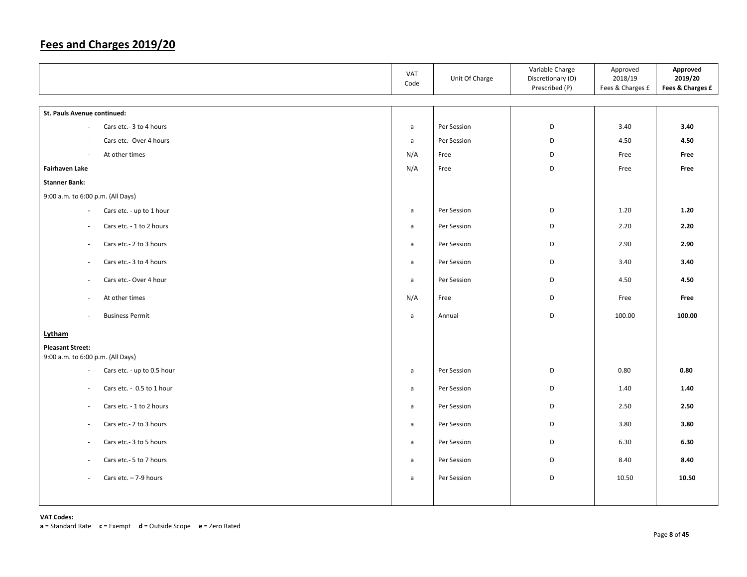|                                                      | VAT<br>Code  | Unit Of Charge | Variable Charge<br>Discretionary (D)<br>Prescribed (P) | Approved<br>2018/19<br>Fees & Charges £ | Approved<br>2019/20<br>Fees & Charges £ |
|------------------------------------------------------|--------------|----------------|--------------------------------------------------------|-----------------------------------------|-----------------------------------------|
| St. Pauls Avenue continued:                          |              |                |                                                        |                                         |                                         |
| Cars etc.- 3 to 4 hours<br>$\overline{\phantom{a}}$  | a            | Per Session    | D                                                      | 3.40                                    | 3.40                                    |
| Cars etc.- Over 4 hours<br>÷,                        | $\mathsf{a}$ | Per Session    | D                                                      | 4.50                                    | 4.50                                    |
| At other times<br>$\sim$                             | N/A          | Free           | D                                                      | Free                                    | Free                                    |
| <b>Fairhaven Lake</b>                                | N/A          | Free           | D                                                      | Free                                    | Free                                    |
| <b>Stanner Bank:</b>                                 |              |                |                                                        |                                         |                                         |
| 9:00 a.m. to 6:00 p.m. (All Days)                    |              |                |                                                        |                                         |                                         |
| Cars etc. - up to 1 hour<br>$\overline{\phantom{a}}$ | a            | Per Session    | D                                                      | 1.20                                    | 1.20                                    |
| Cars etc. - 1 to 2 hours<br>$\sim$                   | $\mathsf{a}$ | Per Session    | D                                                      | 2.20                                    | 2.20                                    |
| Cars etc.- 2 to 3 hours<br>$\sim$                    | $\mathsf{a}$ | Per Session    | D                                                      | 2.90                                    | 2.90                                    |
| Cars etc.- 3 to 4 hours<br>$\overline{\phantom{a}}$  | $\mathsf{a}$ | Per Session    | D                                                      | 3.40                                    | 3.40                                    |
| Cars etc.- Over 4 hour<br>$\sim$                     | $\mathsf{a}$ | Per Session    | D                                                      | 4.50                                    | 4.50                                    |
| At other times<br>$\overline{\phantom{a}}$           | N/A          | Free           | D                                                      | Free                                    | Free                                    |
| <b>Business Permit</b><br>$\sim$                     | $\mathsf{a}$ | Annual         | D                                                      | 100.00                                  | 100.00                                  |
| Lytham                                               |              |                |                                                        |                                         |                                         |
| <b>Pleasant Street:</b>                              |              |                |                                                        |                                         |                                         |
| 9:00 a.m. to 6:00 p.m. (All Days)                    |              |                |                                                        |                                         |                                         |
| Cars etc. - up to 0.5 hour<br>$\sim$                 | a            | Per Session    | D                                                      | 0.80                                    | 0.80                                    |
| Cars etc. - 0.5 to 1 hour<br>$\sim$                  | $\mathsf{a}$ | Per Session    | D                                                      | 1.40                                    | 1.40                                    |
| Cars etc. - 1 to 2 hours<br>$\overline{\phantom{a}}$ | a            | Per Session    | D                                                      | 2.50                                    | 2.50                                    |
| Cars etc.- 2 to 3 hours<br>$\sim$                    | $\mathsf{a}$ | Per Session    | D                                                      | 3.80                                    | 3.80                                    |
| Cars etc.- 3 to 5 hours<br>$\overline{\phantom{a}}$  | $\mathsf{a}$ | Per Session    | D                                                      | 6.30                                    | 6.30                                    |
| Cars etc.- 5 to 7 hours<br>$\sim$                    | $\mathsf{a}$ | Per Session    | D                                                      | 8.40                                    | 8.40                                    |
| Cars etc. $-7-9$ hours<br>$\omega$                   | $\mathsf{a}$ | Per Session    | D                                                      | 10.50                                   | 10.50                                   |
|                                                      |              |                |                                                        |                                         |                                         |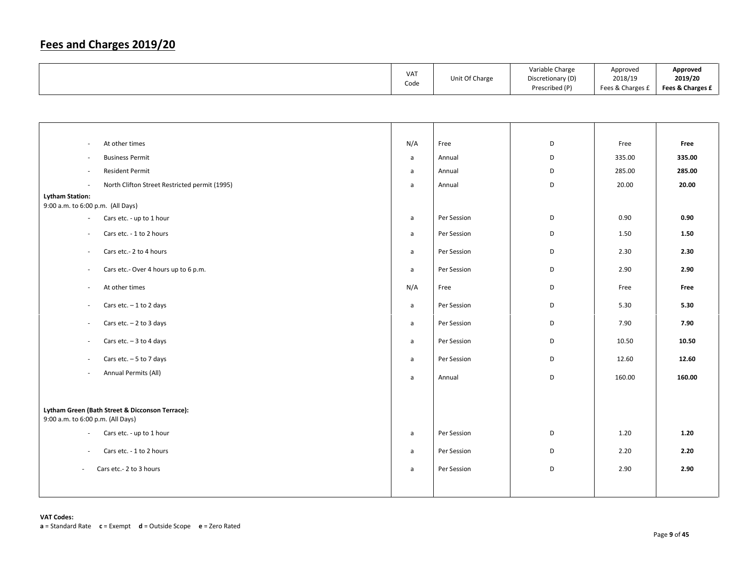|  | <b>VAT</b><br>Code | Unit Of Charge | Variable Charge<br>Discretionary (D)<br>Prescribed (P) | Approved<br>2018/19<br>Fees & Charges £ | Approved<br>2019/20<br>Fees & Charges £ |
|--|--------------------|----------------|--------------------------------------------------------|-----------------------------------------|-----------------------------------------|
|--|--------------------|----------------|--------------------------------------------------------|-----------------------------------------|-----------------------------------------|

| $\sim$                                                      | At other times                                  | N/A          | Free        | D | Free   | Free   |
|-------------------------------------------------------------|-------------------------------------------------|--------------|-------------|---|--------|--------|
| $\sim$                                                      | <b>Business Permit</b>                          | $\mathsf{a}$ | Annual      | D | 335.00 | 335.00 |
| $\sim$                                                      | <b>Resident Permit</b>                          | a            | Annual      | D | 285.00 | 285.00 |
| $\sim$                                                      | North Clifton Street Restricted permit (1995)   | a            | Annual      | D | 20.00  | 20.00  |
| <b>Lytham Station:</b><br>9:00 a.m. to 6:00 p.m. (All Days) |                                                 |              |             |   |        |        |
| $\overline{\phantom{a}}$                                    | Cars etc. - up to 1 hour                        | a            | Per Session | D | 0.90   | 0.90   |
| ÷                                                           | Cars etc. - 1 to 2 hours                        | a            | Per Session | D | 1.50   | 1.50   |
|                                                             |                                                 |              |             |   |        |        |
| $\overline{\phantom{a}}$                                    | Cars etc.- 2 to 4 hours                         | a            | Per Session | D | 2.30   | 2.30   |
| $\sim$                                                      | Cars etc.- Over 4 hours up to 6 p.m.            | a            | Per Session | D | 2.90   | 2.90   |
| $\overline{\phantom{a}}$                                    | At other times                                  | N/A          | Free        | D | Free   | Free   |
| $\sim$                                                      | Cars etc. $-1$ to 2 days                        | a            | Per Session | D | 5.30   | 5.30   |
| $\sim$                                                      | Cars etc. $-2$ to 3 days                        | a            | Per Session | D | 7.90   | 7.90   |
| $\overline{\phantom{a}}$                                    | Cars etc. $-3$ to 4 days                        | a            | Per Session | D | 10.50  | 10.50  |
| $\sim$                                                      | Cars etc. $-5$ to 7 days                        | a            | Per Session | D | 12.60  | 12.60  |
| $\sim$                                                      | Annual Permits (All)                            | a            | Annual      | D | 160.00 | 160.00 |
|                                                             |                                                 |              |             |   |        |        |
| 9:00 a.m. to 6:00 p.m. (All Days)                           | Lytham Green (Bath Street & Dicconson Terrace): |              |             |   |        |        |
| $\overline{\phantom{a}}$                                    | Cars etc. - up to 1 hour                        | a            | Per Session | D | 1.20   | 1.20   |
| $\sim$                                                      | Cars etc. - 1 to 2 hours                        | a            | Per Session | D | 2.20   | 2.20   |
| $\sim$                                                      | Cars etc.- 2 to 3 hours                         | a            | Per Session | D | 2.90   | 2.90   |
|                                                             |                                                 |              |             |   |        |        |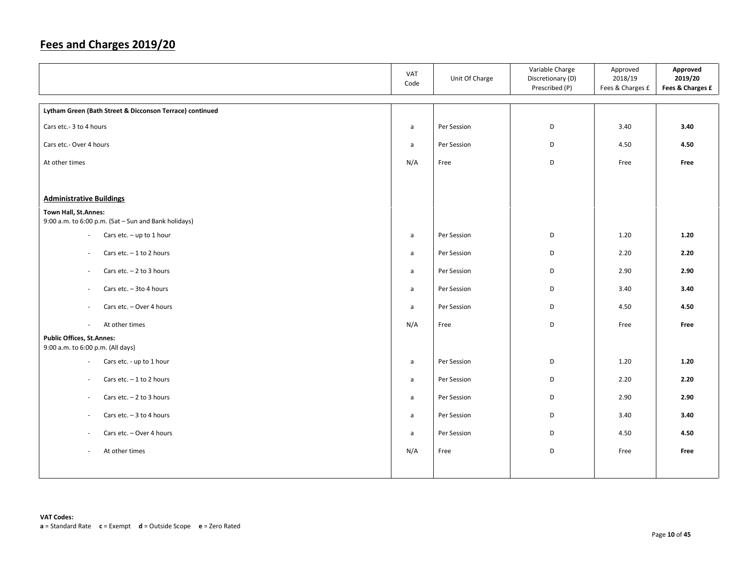|                                                          | VAT<br>Code  | Unit Of Charge | Variable Charge<br>Discretionary (D)<br>Prescribed (P) | Approved<br>2018/19<br>Fees & Charges £ | Approved<br>2019/20<br>Fees & Charges £ |
|----------------------------------------------------------|--------------|----------------|--------------------------------------------------------|-----------------------------------------|-----------------------------------------|
| Lytham Green (Bath Street & Dicconson Terrace) continued |              |                |                                                        |                                         |                                         |
| Cars etc.- 3 to 4 hours                                  | $\mathsf{a}$ | Per Session    | D                                                      | 3.40                                    | 3.40                                    |
| Cars etc.- Over 4 hours                                  | $\mathsf{a}$ | Per Session    | D                                                      | 4.50                                    | 4.50                                    |
| At other times                                           | N/A          | Free           | D                                                      | Free                                    | Free                                    |
|                                                          |              |                |                                                        |                                         |                                         |
| <b>Administrative Buildings</b>                          |              |                |                                                        |                                         |                                         |
| Town Hall, St.Annes:                                     |              |                |                                                        |                                         |                                         |
| 9:00 a.m. to 6:00 p.m. (Sat - Sun and Bank holidays)     |              |                |                                                        |                                         |                                         |
| Cars etc. $-$ up to 1 hour<br>$\overline{\phantom{a}}$   | a            | Per Session    | D                                                      | 1.20                                    | 1.20                                    |
| Cars etc. $-1$ to 2 hours<br>$\overline{\phantom{a}}$    | $\mathsf{a}$ | Per Session    | D                                                      | 2.20                                    | 2.20                                    |
| Cars etc. $-2$ to 3 hours<br>$\overline{\phantom{a}}$    | a            | Per Session    | D                                                      | 2.90                                    | 2.90                                    |
| Cars etc. - 3to 4 hours<br>$\overline{\phantom{a}}$      | a            | Per Session    | D                                                      | 3.40                                    | 3.40                                    |
| Cars etc. - Over 4 hours<br>$\sim$                       | a            | Per Session    | D                                                      | 4.50                                    | 4.50                                    |
| At other times<br>$\sim$                                 | N/A          | Free           | D                                                      | Free                                    | Free                                    |
| <b>Public Offices, St.Annes:</b>                         |              |                |                                                        |                                         |                                         |
| 9:00 a.m. to 6:00 p.m. (All days)                        |              |                |                                                        |                                         |                                         |
| Cars etc. - up to 1 hour<br>$\overline{\phantom{a}}$     | $\mathsf{a}$ | Per Session    | D                                                      | 1.20                                    | 1.20                                    |
| Cars etc. $-1$ to 2 hours<br>$\sim$                      | a            | Per Session    | D                                                      | 2.20                                    | 2.20                                    |
| Cars etc. $-2$ to 3 hours<br>$\overline{\phantom{a}}$    | a            | Per Session    | D                                                      | 2.90                                    | 2.90                                    |
| Cars etc. $-3$ to 4 hours<br>$\sim$                      | a            | Per Session    | D                                                      | 3.40                                    | 3.40                                    |
| Cars etc. - Over 4 hours<br>$\overline{\phantom{a}}$     | a            | Per Session    | D                                                      | 4.50                                    | 4.50                                    |
| At other times<br>$\sim$                                 | N/A          | Free           | D                                                      | Free                                    | Free                                    |
|                                                          |              |                |                                                        |                                         |                                         |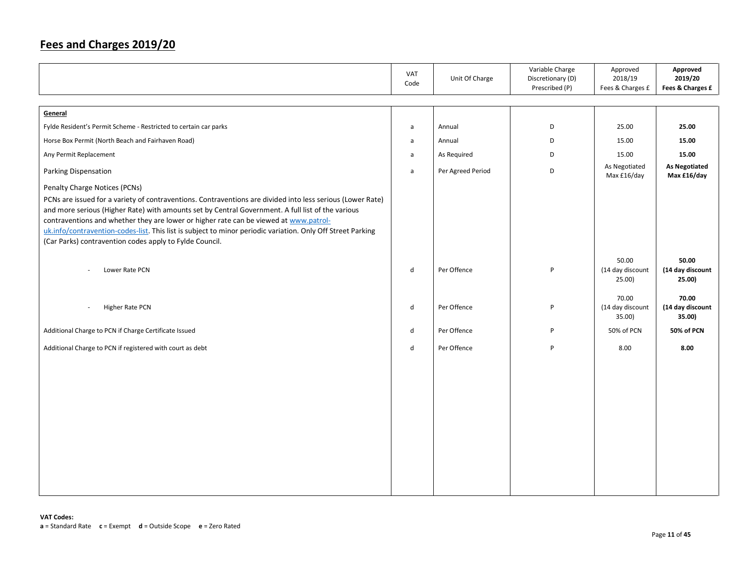|                                                                                                                                                                                                                                                                                                                                                                                                                                                                                    | VAT<br>Code  | Unit Of Charge    | Variable Charge<br>Discretionary (D)<br>Prescribed (P) | Approved<br>2018/19<br>Fees & Charges £ | Approved<br>2019/20<br>Fees & Charges £ |
|------------------------------------------------------------------------------------------------------------------------------------------------------------------------------------------------------------------------------------------------------------------------------------------------------------------------------------------------------------------------------------------------------------------------------------------------------------------------------------|--------------|-------------------|--------------------------------------------------------|-----------------------------------------|-----------------------------------------|
| General                                                                                                                                                                                                                                                                                                                                                                                                                                                                            |              |                   |                                                        |                                         |                                         |
| Fylde Resident's Permit Scheme - Restricted to certain car parks                                                                                                                                                                                                                                                                                                                                                                                                                   | $\mathsf{a}$ | Annual            | D                                                      | 25.00                                   | 25.00                                   |
| Horse Box Permit (North Beach and Fairhaven Road)                                                                                                                                                                                                                                                                                                                                                                                                                                  | $\mathsf{a}$ | Annual            | D                                                      | 15.00                                   | 15.00                                   |
| Any Permit Replacement                                                                                                                                                                                                                                                                                                                                                                                                                                                             | $\mathsf{a}$ | As Required       | D                                                      | 15.00                                   | 15.00                                   |
| Parking Dispensation                                                                                                                                                                                                                                                                                                                                                                                                                                                               | $\mathsf{a}$ | Per Agreed Period | D                                                      | As Negotiated<br>Max £16/day            | <b>As Negotiated</b><br>Max £16/day     |
| Penalty Charge Notices (PCNs)                                                                                                                                                                                                                                                                                                                                                                                                                                                      |              |                   |                                                        |                                         |                                         |
| PCNs are issued for a variety of contraventions. Contraventions are divided into less serious (Lower Rate)<br>and more serious (Higher Rate) with amounts set by Central Government. A full list of the various<br>contraventions and whether they are lower or higher rate can be viewed at www.patrol-<br>uk.info/contravention-codes-list. This list is subject to minor periodic variation. Only Off Street Parking<br>(Car Parks) contravention codes apply to Fylde Council. |              |                   |                                                        |                                         |                                         |
| Lower Rate PCN                                                                                                                                                                                                                                                                                                                                                                                                                                                                     | d            | Per Offence       | P                                                      | 50.00<br>(14 day discount<br>25.00)     | 50.00<br>(14 day discount<br>25.00)     |
| Higher Rate PCN<br>$\overline{\phantom{a}}$                                                                                                                                                                                                                                                                                                                                                                                                                                        | d            | Per Offence       | P                                                      | 70.00<br>(14 day discount<br>35.00)     | 70.00<br>(14 day discount<br>35.00)     |
| Additional Charge to PCN if Charge Certificate Issued                                                                                                                                                                                                                                                                                                                                                                                                                              | d            | Per Offence       | P                                                      | 50% of PCN                              | 50% of PCN                              |
| Additional Charge to PCN if registered with court as debt                                                                                                                                                                                                                                                                                                                                                                                                                          | d            | Per Offence       | P                                                      | 8.00                                    | 8.00                                    |
|                                                                                                                                                                                                                                                                                                                                                                                                                                                                                    |              |                   |                                                        |                                         |                                         |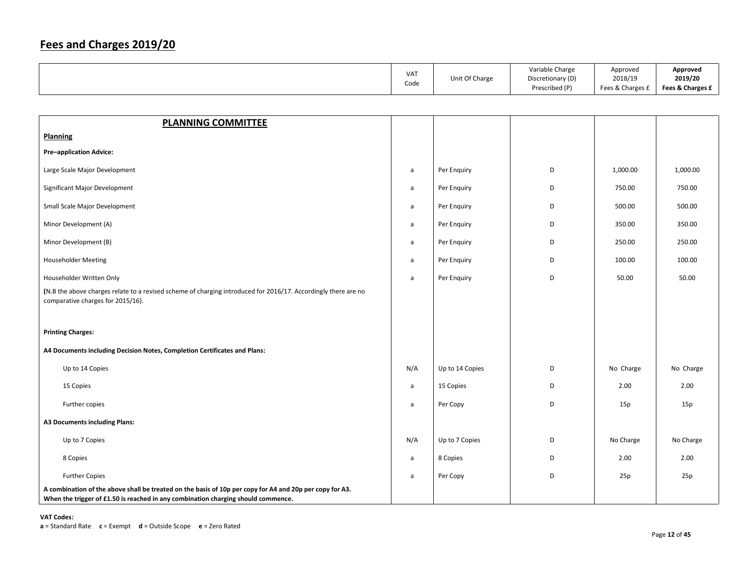|                                                                                                                                                                                               | VAT<br>Code  | Unit Of Charge  | Variable Charge<br>Discretionary (D) | Approved<br>2018/19 | Approved<br>2019/20 |
|-----------------------------------------------------------------------------------------------------------------------------------------------------------------------------------------------|--------------|-----------------|--------------------------------------|---------------------|---------------------|
|                                                                                                                                                                                               |              |                 | Prescribed (P)                       | Fees & Charges £    | Fees & Charges £    |
|                                                                                                                                                                                               |              |                 |                                      |                     |                     |
| <b>PLANNING COMMITTEE</b>                                                                                                                                                                     |              |                 |                                      |                     |                     |
| Planning                                                                                                                                                                                      |              |                 |                                      |                     |                     |
| <b>Pre-application Advice:</b>                                                                                                                                                                |              |                 |                                      |                     |                     |
| Large Scale Major Development                                                                                                                                                                 | $\mathsf{a}$ | Per Enquiry     | D                                    | 1,000.00            | 1,000.00            |
| Significant Major Development                                                                                                                                                                 | a            | Per Enquiry     | D                                    | 750.00              | 750.00              |
| Small Scale Major Development                                                                                                                                                                 | a            | Per Enquiry     | D                                    | 500.00              | 500.00              |
| Minor Development (A)                                                                                                                                                                         | $\mathsf{a}$ | Per Enquiry     | D                                    | 350.00              | 350.00              |
| Minor Development (B)                                                                                                                                                                         | a            | Per Enquiry     | D                                    | 250.00              | 250.00              |
| <b>Householder Meeting</b>                                                                                                                                                                    | $\mathsf{a}$ | Per Enquiry     | D                                    | 100.00              | 100.00              |
| Householder Written Only                                                                                                                                                                      | a            | Per Enquiry     | D                                    | 50.00               | 50.00               |
| (N.B the above charges relate to a revised scheme of charging introduced for 2016/17. Accordingly there are no<br>comparative charges for 2015/16).                                           |              |                 |                                      |                     |                     |
| <b>Printing Charges:</b>                                                                                                                                                                      |              |                 |                                      |                     |                     |
| A4 Documents including Decision Notes, Completion Certificates and Plans:                                                                                                                     |              |                 |                                      |                     |                     |
| Up to 14 Copies                                                                                                                                                                               | N/A          | Up to 14 Copies | D                                    | No Charge           | No Charge           |
| 15 Copies                                                                                                                                                                                     | a            | 15 Copies       | D                                    | 2.00                | 2.00                |
| Further copies                                                                                                                                                                                | a            | Per Copy        | D                                    | 15p                 | 15p                 |
| <b>A3 Documents including Plans:</b>                                                                                                                                                          |              |                 |                                      |                     |                     |
| Up to 7 Copies                                                                                                                                                                                | N/A          | Up to 7 Copies  | D                                    | No Charge           | No Charge           |
| 8 Copies                                                                                                                                                                                      | $\mathsf{a}$ | 8 Copies        | D                                    | 2.00                | 2.00                |
| <b>Further Copies</b>                                                                                                                                                                         | a            | Per Copy        | D                                    | 25p                 | 25p                 |
| A combination of the above shall be treated on the basis of 10p per copy for A4 and 20p per copy for A3.<br>When the trigger of £1.50 is reached in any combination charging should commence. |              |                 |                                      |                     |                     |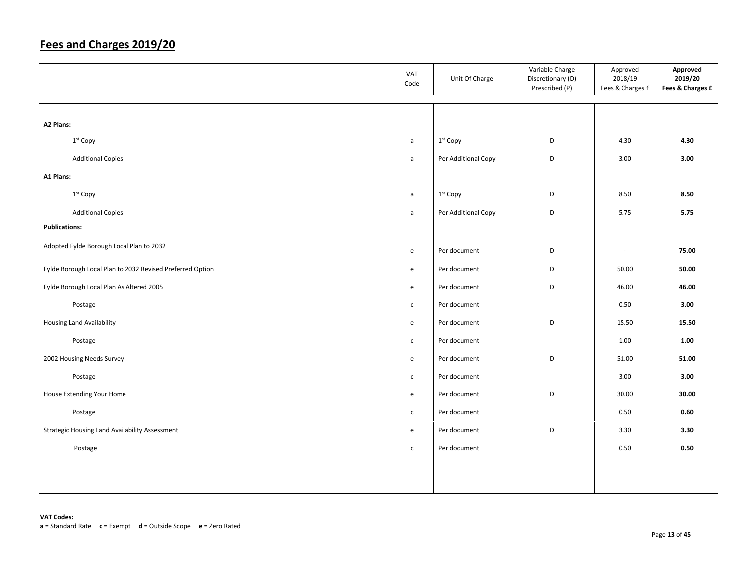|                                                           | VAT<br>Code                       | Unit Of Charge       | Variable Charge<br>Discretionary (D)<br>Prescribed (P) | Approved<br>2018/19<br>Fees & Charges £ | Approved<br>2019/20<br>Fees & Charges £ |
|-----------------------------------------------------------|-----------------------------------|----------------------|--------------------------------------------------------|-----------------------------------------|-----------------------------------------|
|                                                           |                                   |                      |                                                        |                                         |                                         |
| A2 Plans:                                                 |                                   |                      |                                                        |                                         |                                         |
| 1st Copy                                                  | a                                 | 1 <sup>st</sup> Copy | D                                                      | 4.30                                    | 4.30                                    |
| <b>Additional Copies</b>                                  | $\mathsf{a}$                      | Per Additional Copy  | D                                                      | 3.00                                    | 3.00                                    |
| A1 Plans:                                                 |                                   |                      |                                                        |                                         |                                         |
| 1st Copy                                                  | $\mathsf{a}$                      | 1st Copy             | D                                                      | 8.50                                    | 8.50                                    |
| <b>Additional Copies</b>                                  | $\mathsf{a}$                      | Per Additional Copy  | $\mathsf D$                                            | 5.75                                    | 5.75                                    |
| <b>Publications:</b>                                      |                                   |                      |                                                        |                                         |                                         |
| Adopted Fylde Borough Local Plan to 2032                  | $\mathsf{e}\,$                    | Per document         | $\mathsf D$                                            | $\sim$                                  | 75.00                                   |
| Fylde Borough Local Plan to 2032 Revised Preferred Option | $\mathsf{e}% _{t}\left( t\right)$ | Per document         | D                                                      | 50.00                                   | 50.00                                   |
| Fylde Borough Local Plan As Altered 2005                  | $\mathsf{e}\,$                    | Per document         | $\mathsf D$                                            | 46.00                                   | 46.00                                   |
| Postage                                                   | $\mathsf{C}$                      | Per document         |                                                        | 0.50                                    | 3.00                                    |
| <b>Housing Land Availability</b>                          | $\mathsf{e}\,$                    | Per document         | $\mathsf D$                                            | 15.50                                   | 15.50                                   |
| Postage                                                   | $\mathsf{C}$                      | Per document         |                                                        | 1.00                                    | 1.00                                    |
| 2002 Housing Needs Survey                                 | $\mathsf{e}\,$                    | Per document         | D                                                      | 51.00                                   | 51.00                                   |
| Postage                                                   | $\mathsf{C}$                      | Per document         |                                                        | 3.00                                    | 3.00                                    |
| House Extending Your Home                                 | $\mathsf{e}\,$                    | Per document         | D                                                      | 30.00                                   | 30.00                                   |
| Postage                                                   | $\mathsf{C}$                      | Per document         |                                                        | 0.50                                    | 0.60                                    |
| Strategic Housing Land Availability Assessment            | e                                 | Per document         | D                                                      | 3.30                                    | 3.30                                    |
| Postage                                                   | $\mathsf{C}$                      | Per document         |                                                        | 0.50                                    | 0.50                                    |
|                                                           |                                   |                      |                                                        |                                         |                                         |
|                                                           |                                   |                      |                                                        |                                         |                                         |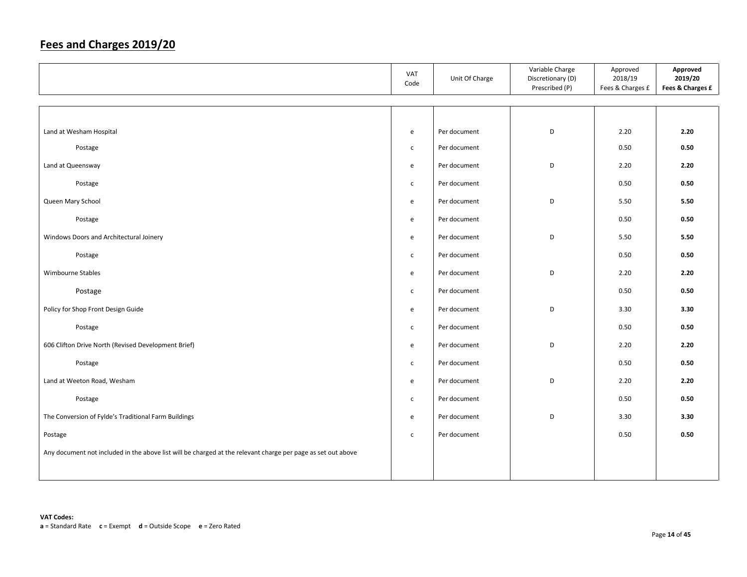|                                                                                                              | VAT<br>Code  | Unit Of Charge | Variable Charge<br>Discretionary (D)<br>Prescribed (P) | Approved<br>2018/19<br>Fees & Charges £ | Approved<br>2019/20<br>Fees & Charges £ |
|--------------------------------------------------------------------------------------------------------------|--------------|----------------|--------------------------------------------------------|-----------------------------------------|-----------------------------------------|
|                                                                                                              |              |                |                                                        |                                         |                                         |
| Land at Wesham Hospital                                                                                      | e            | Per document   | D                                                      | 2.20                                    | 2.20                                    |
| Postage                                                                                                      | $\mathsf{C}$ | Per document   |                                                        | 0.50                                    | 0.50                                    |
| Land at Queensway                                                                                            | e            | Per document   | D                                                      | 2.20                                    | 2.20                                    |
| Postage                                                                                                      | $\mathsf{C}$ | Per document   |                                                        | 0.50                                    | 0.50                                    |
| Queen Mary School                                                                                            | e            | Per document   | D                                                      | 5.50                                    | 5.50                                    |
| Postage                                                                                                      | e            | Per document   |                                                        | 0.50                                    | 0.50                                    |
| Windows Doors and Architectural Joinery                                                                      | e            | Per document   | D                                                      | 5.50                                    | 5.50                                    |
|                                                                                                              |              | Per document   |                                                        | 0.50                                    | 0.50                                    |
| Postage                                                                                                      | $\mathsf{C}$ |                |                                                        |                                         |                                         |
| Wimbourne Stables                                                                                            | e            | Per document   | D                                                      | 2.20                                    | 2.20                                    |
| Postage                                                                                                      | $\mathsf{C}$ | Per document   |                                                        | 0.50                                    | 0.50                                    |
| Policy for Shop Front Design Guide                                                                           | e            | Per document   | D                                                      | 3.30                                    | 3.30                                    |
| Postage                                                                                                      | $\mathsf{C}$ | Per document   |                                                        | 0.50                                    | 0.50                                    |
| 606 Clifton Drive North (Revised Development Brief)                                                          | e            | Per document   | D                                                      | 2.20                                    | 2.20                                    |
| Postage                                                                                                      | $\mathsf{C}$ | Per document   |                                                        | 0.50                                    | 0.50                                    |
| Land at Weeton Road, Wesham                                                                                  | e            | Per document   | D                                                      | 2.20                                    | 2.20                                    |
| Postage                                                                                                      | $\mathsf{C}$ | Per document   |                                                        | 0.50                                    | 0.50                                    |
| The Conversion of Fylde's Traditional Farm Buildings                                                         | e            | Per document   | D                                                      | 3.30                                    | 3.30                                    |
|                                                                                                              |              |                |                                                        |                                         |                                         |
| Postage                                                                                                      | $\mathsf{C}$ | Per document   |                                                        | 0.50                                    | 0.50                                    |
| Any document not included in the above list will be charged at the relevant charge per page as set out above |              |                |                                                        |                                         |                                         |
|                                                                                                              |              |                |                                                        |                                         |                                         |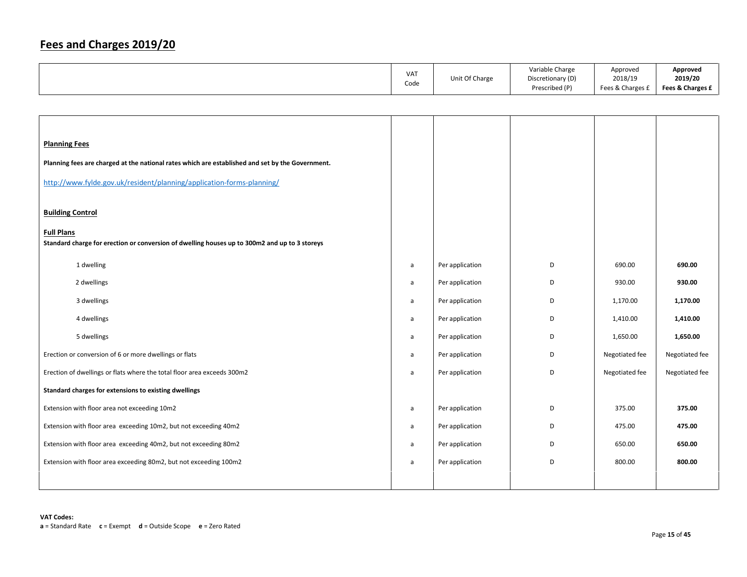| <b>VAT</b> |                | Variable Charge   | Approved         | Approved         |
|------------|----------------|-------------------|------------------|------------------|
|            | Unit Of Charge | Discretionary (D) | 2018/19          | 2019/20          |
| Code       |                | Prescribed (P)    | Fees & Charges £ | Fees & Charges £ |

| <b>Planning Fees</b>                                                                                               |   |                 |   |                |                |
|--------------------------------------------------------------------------------------------------------------------|---|-----------------|---|----------------|----------------|
| Planning fees are charged at the national rates which are established and set by the Government.                   |   |                 |   |                |                |
| http://www.fylde.gov.uk/resident/planning/application-forms-planning/                                              |   |                 |   |                |                |
| <b>Building Control</b>                                                                                            |   |                 |   |                |                |
| <b>Full Plans</b><br>Standard charge for erection or conversion of dwelling houses up to 300m2 and up to 3 storeys |   |                 |   |                |                |
| 1 dwelling                                                                                                         | a | Per application | D | 690.00         | 690.00         |
| 2 dwellings                                                                                                        | a | Per application | D | 930.00         | 930.00         |
| 3 dwellings                                                                                                        | a | Per application | D | 1,170.00       | 1,170.00       |
| 4 dwellings                                                                                                        | a | Per application | D | 1,410.00       | 1,410.00       |
| 5 dwellings                                                                                                        | a | Per application | D | 1,650.00       | 1,650.00       |
| Erection or conversion of 6 or more dwellings or flats                                                             | a | Per application | D | Negotiated fee | Negotiated fee |
| Erection of dwellings or flats where the total floor area exceeds 300m2                                            | a | Per application | D | Negotiated fee | Negotiated fee |
| Standard charges for extensions to existing dwellings                                                              |   |                 |   |                |                |
| Extension with floor area not exceeding 10m2                                                                       | a | Per application | D | 375.00         | 375.00         |
| Extension with floor area exceeding 10m2, but not exceeding 40m2                                                   | a | Per application | D | 475.00         | 475.00         |
| Extension with floor area exceeding 40m2, but not exceeding 80m2                                                   | a | Per application | D | 650.00         | 650.00         |
| Extension with floor area exceeding 80m2, but not exceeding 100m2                                                  | a | Per application | D | 800.00         | 800.00         |
|                                                                                                                    |   |                 |   |                |                |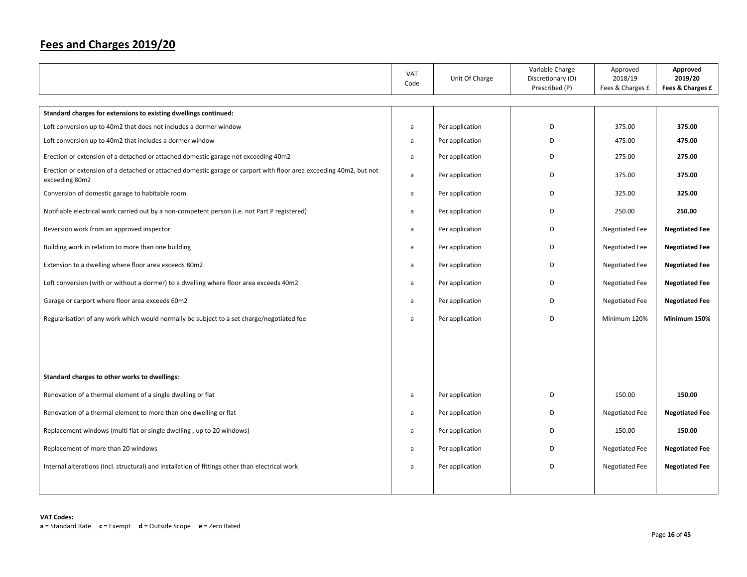|                                                                                                                                      | VAT<br>Code | Unit Of Charge  | Variable Charge<br>Discretionary (D)<br>Prescribed (P) | Approved<br>2018/19<br>Fees & Charges £ | Approved<br>2019/20<br>Fees & Charges £ |
|--------------------------------------------------------------------------------------------------------------------------------------|-------------|-----------------|--------------------------------------------------------|-----------------------------------------|-----------------------------------------|
|                                                                                                                                      |             |                 |                                                        |                                         |                                         |
| Standard charges for extensions to existing dwellings continued:                                                                     |             |                 |                                                        |                                         |                                         |
| Loft conversion up to 40m2 that does not includes a dormer window                                                                    | a           | Per application | D                                                      | 375.00                                  | 375.00                                  |
| Loft conversion up to 40m2 that includes a dormer window                                                                             | a           | Per application | D                                                      | 475.00                                  | 475.00                                  |
| Erection or extension of a detached or attached domestic garage not exceeding 40m2                                                   | a           | Per application | D                                                      | 275.00                                  | 275.00                                  |
| Erection or extension of a detached or attached domestic garage or carport with floor area exceeding 40m2, but not<br>exceeding 80m2 | a           | Per application | D                                                      | 375.00                                  | 375.00                                  |
| Conversion of domestic garage to habitable room                                                                                      | a           | Per application | D                                                      | 325.00                                  | 325.00                                  |
| Notifiable electrical work carried out by a non-competent person (i.e. not Part P registered)                                        | a           | Per application | D                                                      | 250.00                                  | 250.00                                  |
| Reversion work from an approved inspector                                                                                            | a           | Per application | D                                                      | <b>Negotiated Fee</b>                   | <b>Negotiated Fee</b>                   |
| Building work in relation to more than one building                                                                                  | a           | Per application | D                                                      | <b>Negotiated Fee</b>                   | <b>Negotiated Fee</b>                   |
| Extension to a dwelling where floor area exceeds 80m2                                                                                | a           | Per application | D                                                      | <b>Negotiated Fee</b>                   | <b>Negotiated Fee</b>                   |
| Loft conversion (with or without a dormer) to a dwelling where floor area exceeds 40m2                                               | a           | Per application | D                                                      | <b>Negotiated Fee</b>                   | <b>Negotiated Fee</b>                   |
| Garage or carport where floor area exceeds 60m2                                                                                      | a           | Per application | D                                                      | <b>Negotiated Fee</b>                   | <b>Negotiated Fee</b>                   |
| Regularisation of any work which would normally be subject to a set charge/negotiated fee                                            | a           | Per application | D                                                      | Minimum 120%                            | Minimum 150%                            |
|                                                                                                                                      |             |                 |                                                        |                                         |                                         |
|                                                                                                                                      |             |                 |                                                        |                                         |                                         |
| Standard charges to other works to dwellings:                                                                                        |             |                 |                                                        |                                         |                                         |
| Renovation of a thermal element of a single dwelling or flat                                                                         | a           | Per application | D                                                      | 150.00                                  | 150.00                                  |
| Renovation of a thermal element to more than one dwelling or flat                                                                    | a           | Per application | D                                                      | <b>Negotiated Fee</b>                   | <b>Negotiated Fee</b>                   |
| Replacement windows (multi flat or single dwelling, up to 20 windows)                                                                | a           | Per application | D                                                      | 150.00                                  | 150.00                                  |
| Replacement of more than 20 windows                                                                                                  | a           | Per application | D                                                      | <b>Negotiated Fee</b>                   | <b>Negotiated Fee</b>                   |
| Internal alterations (Incl. structural) and installation of fittings other than electrical work                                      | a           | Per application | D                                                      | <b>Negotiated Fee</b>                   | <b>Negotiated Fee</b>                   |
|                                                                                                                                      |             |                 |                                                        |                                         |                                         |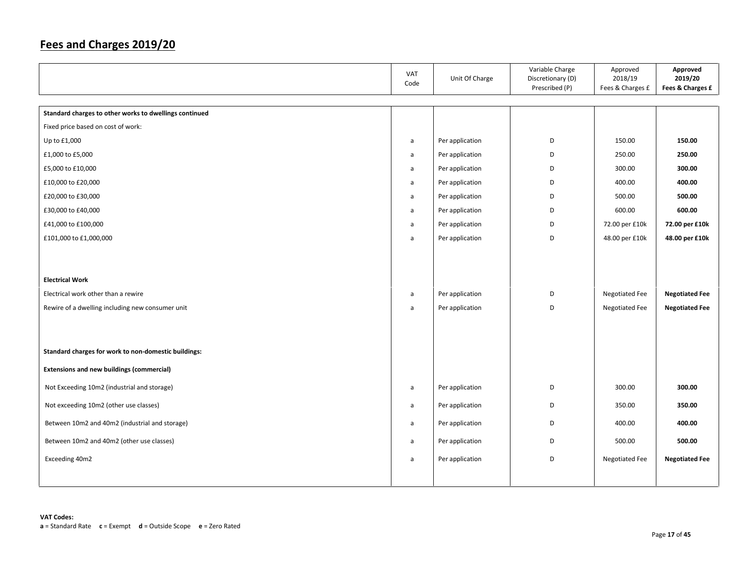|                                                        | VAT<br>Code  | Unit Of Charge  | Variable Charge<br>Discretionary (D)<br>Prescribed (P) | Approved<br>2018/19<br>Fees & Charges £ | Approved<br>2019/20<br>Fees & Charges £ |
|--------------------------------------------------------|--------------|-----------------|--------------------------------------------------------|-----------------------------------------|-----------------------------------------|
|                                                        |              |                 |                                                        |                                         |                                         |
| Standard charges to other works to dwellings continued |              |                 |                                                        |                                         |                                         |
| Fixed price based on cost of work:                     |              |                 |                                                        |                                         |                                         |
| Up to £1,000                                           | a            | Per application | D                                                      | 150.00                                  | 150.00                                  |
| £1,000 to £5,000                                       | a            | Per application | D                                                      | 250.00                                  | 250.00                                  |
| £5,000 to £10,000                                      | a            | Per application | D                                                      | 300.00                                  | 300.00                                  |
| £10,000 to £20,000                                     | a            | Per application | D                                                      | 400.00                                  | 400.00                                  |
| £20,000 to £30,000                                     | a            | Per application | D                                                      | 500.00                                  | 500.00                                  |
| £30,000 to £40,000                                     | a            | Per application | D                                                      | 600.00                                  | 600.00                                  |
| £41,000 to £100,000                                    | $\mathsf{a}$ | Per application | D                                                      | 72.00 per £10k                          | 72.00 per £10k                          |
| £101,000 to £1,000,000                                 | a            | Per application | D                                                      | 48.00 per £10k                          | 48.00 per £10k                          |
| <b>Electrical Work</b>                                 |              |                 |                                                        |                                         |                                         |
| Electrical work other than a rewire                    | $\mathsf{a}$ | Per application | D                                                      | Negotiated Fee                          | <b>Negotiated Fee</b>                   |
| Rewire of a dwelling including new consumer unit       | $\mathsf{a}$ | Per application | D                                                      | Negotiated Fee                          | <b>Negotiated Fee</b>                   |
| Standard charges for work to non-domestic buildings:   |              |                 |                                                        |                                         |                                         |
| <b>Extensions and new buildings (commercial)</b>       |              |                 |                                                        |                                         |                                         |
| Not Exceeding 10m2 (industrial and storage)            | $\mathsf{a}$ | Per application | D                                                      | 300.00                                  | 300.00                                  |
| Not exceeding 10m2 (other use classes)                 | a            | Per application | D                                                      | 350.00                                  | 350.00                                  |
| Between 10m2 and 40m2 (industrial and storage)         | a            | Per application | D                                                      | 400.00                                  | 400.00                                  |
| Between 10m2 and 40m2 (other use classes)              | a            | Per application | D                                                      | 500.00                                  | 500.00                                  |
| Exceeding 40m2                                         | a            | Per application | D                                                      | <b>Negotiated Fee</b>                   | <b>Negotiated Fee</b>                   |
|                                                        |              |                 |                                                        |                                         |                                         |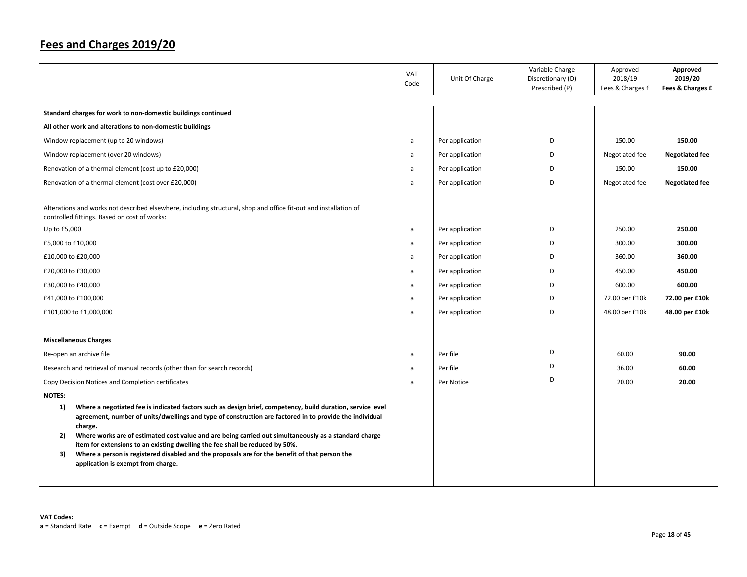|                                                                                                                                                                                                                                                                                                                                                                                                                                                                                                                                                                                      | VAT<br>Code | Unit Of Charge  | Variable Charge<br>Discretionary (D)<br>Prescribed (P) | Approved<br>2018/19<br>Fees & Charges £ | Approved<br>2019/20<br>Fees & Charges £ |
|--------------------------------------------------------------------------------------------------------------------------------------------------------------------------------------------------------------------------------------------------------------------------------------------------------------------------------------------------------------------------------------------------------------------------------------------------------------------------------------------------------------------------------------------------------------------------------------|-------------|-----------------|--------------------------------------------------------|-----------------------------------------|-----------------------------------------|
| Standard charges for work to non-domestic buildings continued                                                                                                                                                                                                                                                                                                                                                                                                                                                                                                                        |             |                 |                                                        |                                         |                                         |
| All other work and alterations to non-domestic buildings                                                                                                                                                                                                                                                                                                                                                                                                                                                                                                                             |             |                 |                                                        |                                         |                                         |
| Window replacement (up to 20 windows)                                                                                                                                                                                                                                                                                                                                                                                                                                                                                                                                                | a           | Per application | D                                                      | 150.00                                  | 150.00                                  |
| Window replacement (over 20 windows)                                                                                                                                                                                                                                                                                                                                                                                                                                                                                                                                                 | a           | Per application | D                                                      | Negotiated fee                          | <b>Negotiated fee</b>                   |
| Renovation of a thermal element (cost up to £20,000)                                                                                                                                                                                                                                                                                                                                                                                                                                                                                                                                 | a           | Per application | D                                                      | 150.00                                  | 150.00                                  |
| Renovation of a thermal element (cost over £20,000)                                                                                                                                                                                                                                                                                                                                                                                                                                                                                                                                  | a           | Per application | D                                                      | Negotiated fee                          | <b>Negotiated fee</b>                   |
| Alterations and works not described elsewhere, including structural, shop and office fit-out and installation of<br>controlled fittings. Based on cost of works:                                                                                                                                                                                                                                                                                                                                                                                                                     |             |                 |                                                        |                                         |                                         |
| Up to £5,000                                                                                                                                                                                                                                                                                                                                                                                                                                                                                                                                                                         | a           | Per application | D                                                      | 250.00                                  | 250.00                                  |
| £5,000 to £10,000                                                                                                                                                                                                                                                                                                                                                                                                                                                                                                                                                                    | a           | Per application | D                                                      | 300.00                                  | 300.00                                  |
| £10,000 to £20,000                                                                                                                                                                                                                                                                                                                                                                                                                                                                                                                                                                   | a           | Per application | D                                                      | 360.00                                  | 360.00                                  |
| £20,000 to £30,000                                                                                                                                                                                                                                                                                                                                                                                                                                                                                                                                                                   | a           | Per application | D                                                      | 450.00                                  | 450.00                                  |
| £30,000 to £40,000                                                                                                                                                                                                                                                                                                                                                                                                                                                                                                                                                                   | a           | Per application | D                                                      | 600.00                                  | 600.00                                  |
| £41,000 to £100,000                                                                                                                                                                                                                                                                                                                                                                                                                                                                                                                                                                  | a           | Per application | D                                                      | 72.00 per £10k                          | 72.00 per £10k                          |
| £101,000 to £1,000,000                                                                                                                                                                                                                                                                                                                                                                                                                                                                                                                                                               | a           | Per application | D                                                      | 48.00 per £10k                          | 48.00 per £10k                          |
|                                                                                                                                                                                                                                                                                                                                                                                                                                                                                                                                                                                      |             |                 |                                                        |                                         |                                         |
| <b>Miscellaneous Charges</b>                                                                                                                                                                                                                                                                                                                                                                                                                                                                                                                                                         |             |                 |                                                        |                                         |                                         |
| Re-open an archive file                                                                                                                                                                                                                                                                                                                                                                                                                                                                                                                                                              | a           | Per file        | D                                                      | 60.00                                   | 90.00                                   |
| Research and retrieval of manual records (other than for search records)                                                                                                                                                                                                                                                                                                                                                                                                                                                                                                             | a           | Per file        | D                                                      | 36.00                                   | 60.00                                   |
| Copy Decision Notices and Completion certificates                                                                                                                                                                                                                                                                                                                                                                                                                                                                                                                                    | a           | Per Notice      | D                                                      | 20.00                                   | 20.00                                   |
| <b>NOTES:</b>                                                                                                                                                                                                                                                                                                                                                                                                                                                                                                                                                                        |             |                 |                                                        |                                         |                                         |
| 1)<br>Where a negotiated fee is indicated factors such as design brief, competency, build duration, service level<br>agreement, number of units/dwellings and type of construction are factored in to provide the individual<br>charge.<br>Where works are of estimated cost value and are being carried out simultaneously as a standard charge<br>2)<br>item for extensions to an existing dwelling the fee shall be reduced by 50%.<br>Where a person is registered disabled and the proposals are for the benefit of that person the<br>3)<br>application is exempt from charge. |             |                 |                                                        |                                         |                                         |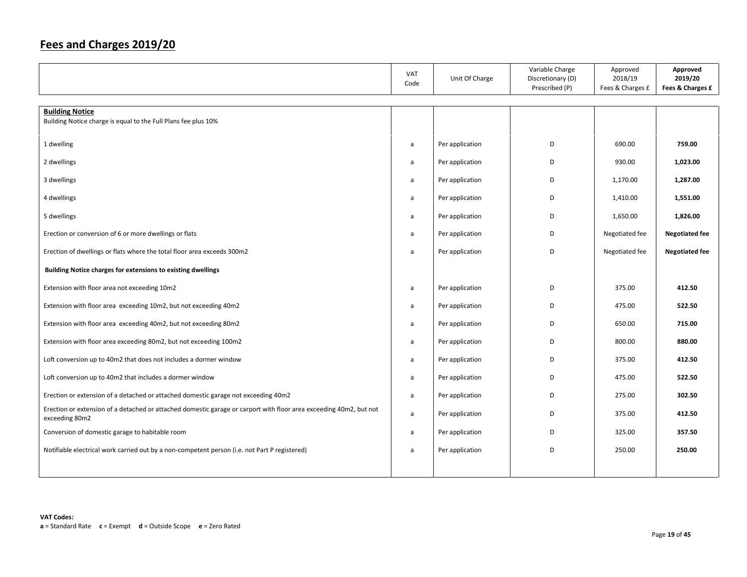|                                                                                                                                      | VAT<br>Code | Unit Of Charge  | Variable Charge<br>Discretionary (D)<br>Prescribed (P) | Approved<br>2018/19<br>Fees & Charges £ | Approved<br>2019/20<br>Fees & Charges £ |
|--------------------------------------------------------------------------------------------------------------------------------------|-------------|-----------------|--------------------------------------------------------|-----------------------------------------|-----------------------------------------|
| <b>Building Notice</b>                                                                                                               |             |                 |                                                        |                                         |                                         |
| Building Notice charge is equal to the Full Plans fee plus 10%                                                                       |             |                 |                                                        |                                         |                                         |
|                                                                                                                                      |             |                 |                                                        |                                         |                                         |
| 1 dwelling                                                                                                                           | a           | Per application | D                                                      | 690.00                                  | 759.00                                  |
| 2 dwellings                                                                                                                          | a           | Per application | D                                                      | 930.00                                  | 1,023.00                                |
| 3 dwellings                                                                                                                          | a           | Per application | D                                                      | 1,170.00                                | 1,287.00                                |
| 4 dwellings                                                                                                                          | a           | Per application | D                                                      | 1,410.00                                | 1,551.00                                |
| 5 dwellings                                                                                                                          | a           | Per application | D                                                      | 1,650.00                                | 1,826.00                                |
| Erection or conversion of 6 or more dwellings or flats                                                                               | a           | Per application | D                                                      | Negotiated fee                          | <b>Negotiated fee</b>                   |
| Erection of dwellings or flats where the total floor area exceeds 300m2                                                              | a           | Per application | D                                                      | Negotiated fee                          | <b>Negotiated fee</b>                   |
| Building Notice charges for extensions to existing dwellings                                                                         |             |                 |                                                        |                                         |                                         |
| Extension with floor area not exceeding 10m2                                                                                         | a           | Per application | D                                                      | 375.00                                  | 412.50                                  |
| Extension with floor area exceeding 10m2, but not exceeding 40m2                                                                     | a           | Per application | D                                                      | 475.00                                  | 522.50                                  |
| Extension with floor area exceeding 40m2, but not exceeding 80m2                                                                     | a           | Per application | D                                                      | 650.00                                  | 715.00                                  |
| Extension with floor area exceeding 80m2, but not exceeding 100m2                                                                    | a           | Per application | D                                                      | 800.00                                  | 880.00                                  |
| Loft conversion up to 40m2 that does not includes a dormer window                                                                    | a           | Per application | D                                                      | 375.00                                  | 412.50                                  |
| Loft conversion up to 40m2 that includes a dormer window                                                                             | a           | Per application | D                                                      | 475.00                                  | 522.50                                  |
| Erection or extension of a detached or attached domestic garage not exceeding 40m2                                                   | a           | Per application | D                                                      | 275.00                                  | 302.50                                  |
| Erection or extension of a detached or attached domestic garage or carport with floor area exceeding 40m2, but not<br>exceeding 80m2 | a           | Per application | D                                                      | 375.00                                  | 412.50                                  |
| Conversion of domestic garage to habitable room                                                                                      | a           | Per application | D                                                      | 325.00                                  | 357.50                                  |
| Notifiable electrical work carried out by a non-competent person (i.e. not Part P registered)                                        | a           | Per application | D                                                      | 250.00                                  | 250.00                                  |
|                                                                                                                                      |             |                 |                                                        |                                         |                                         |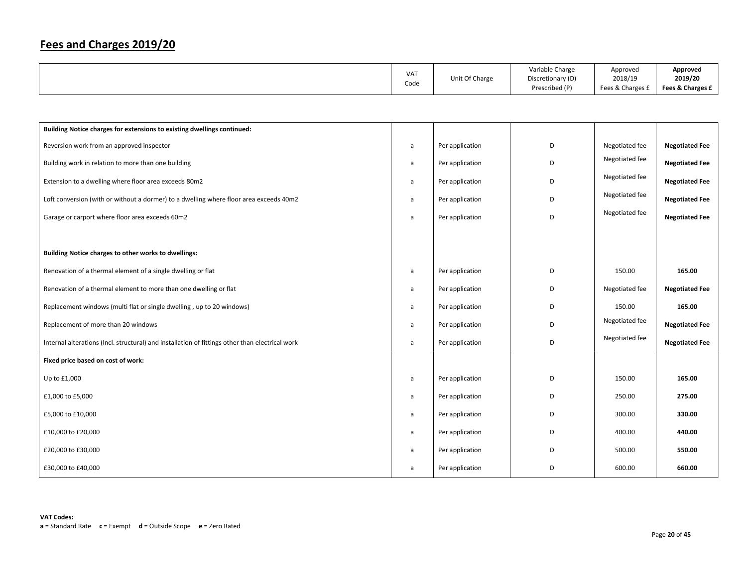|  | <b>VAT</b><br>Code | Unit Of Charge | Variable Charge<br>Discretionary (D)<br>Prescribed (P) | Approved<br>2018/19<br>Fees & Charges £ | Approved<br>2019/20<br>Fees & Charges £ |
|--|--------------------|----------------|--------------------------------------------------------|-----------------------------------------|-----------------------------------------|
|--|--------------------|----------------|--------------------------------------------------------|-----------------------------------------|-----------------------------------------|

| Building Notice charges for extensions to existing dwellings continued:                         |   |                 |   |                |                       |
|-------------------------------------------------------------------------------------------------|---|-----------------|---|----------------|-----------------------|
| Reversion work from an approved inspector                                                       | a | Per application | D | Negotiated fee | <b>Negotiated Fee</b> |
| Building work in relation to more than one building                                             | a | Per application | D | Negotiated fee | <b>Negotiated Fee</b> |
| Extension to a dwelling where floor area exceeds 80m2                                           | a | Per application | D | Negotiated fee | <b>Negotiated Fee</b> |
| Loft conversion (with or without a dormer) to a dwelling where floor area exceeds 40m2          | a | Per application | D | Negotiated fee | <b>Negotiated Fee</b> |
| Garage or carport where floor area exceeds 60m2                                                 | a | Per application | D | Negotiated fee | <b>Negotiated Fee</b> |
|                                                                                                 |   |                 |   |                |                       |
| Building Notice charges to other works to dwellings:                                            |   |                 |   |                |                       |
| Renovation of a thermal element of a single dwelling or flat                                    | a | Per application | D | 150.00         | 165.00                |
| Renovation of a thermal element to more than one dwelling or flat                               | a | Per application | D | Negotiated fee | <b>Negotiated Fee</b> |
| Replacement windows (multi flat or single dwelling, up to 20 windows)                           | a | Per application | D | 150.00         | 165.00                |
| Replacement of more than 20 windows                                                             | a | Per application | D | Negotiated fee | <b>Negotiated Fee</b> |
| Internal alterations (Incl. structural) and installation of fittings other than electrical work | a | Per application | D | Negotiated fee | <b>Negotiated Fee</b> |
| Fixed price based on cost of work:                                                              |   |                 |   |                |                       |
| Up to £1,000                                                                                    | a | Per application | D | 150.00         | 165.00                |
| £1,000 to £5,000                                                                                | a | Per application | D | 250.00         | 275.00                |
| £5,000 to £10,000                                                                               | a | Per application | D | 300.00         | 330.00                |
| £10,000 to £20,000                                                                              | a | Per application | D | 400.00         | 440.00                |
| £20,000 to £30,000                                                                              | a | Per application | D | 500.00         | 550.00                |
| £30,000 to £40,000                                                                              | a | Per application | D | 600.00         | 660.00                |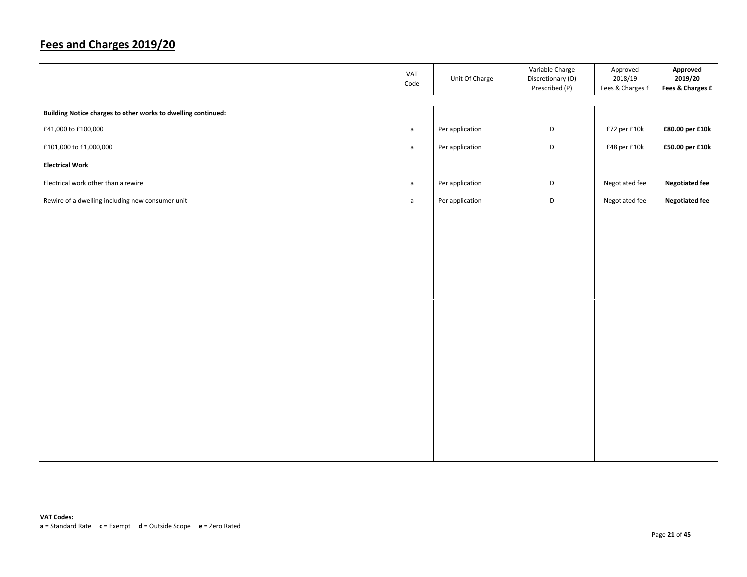|                                                               | VAT<br>Code  | Unit Of Charge  | Variable Charge<br>Discretionary (D)<br>Prescribed (P) | Approved<br>2018/19<br>Fees & Charges £ | Approved<br>2019/20<br>Fees & Charges £ |
|---------------------------------------------------------------|--------------|-----------------|--------------------------------------------------------|-----------------------------------------|-----------------------------------------|
|                                                               |              |                 |                                                        |                                         |                                         |
| Building Notice charges to other works to dwelling continued: |              |                 |                                                        |                                         |                                         |
| £41,000 to £100,000                                           | $\mathsf{a}$ | Per application | D                                                      | £72 per £10k                            | £80.00 per £10k                         |
| £101,000 to £1,000,000                                        | $\mathsf{a}$ | Per application | D                                                      | £48 per £10k                            | £50.00 per £10k                         |
| <b>Electrical Work</b>                                        |              |                 |                                                        |                                         |                                         |
| Electrical work other than a rewire                           | a            | Per application | D                                                      | Negotiated fee                          | <b>Negotiated fee</b>                   |
| Rewire of a dwelling including new consumer unit              | $\mathsf{a}$ | Per application | D                                                      | Negotiated fee                          | <b>Negotiated fee</b>                   |
|                                                               |              |                 |                                                        |                                         |                                         |
|                                                               |              |                 |                                                        |                                         |                                         |
|                                                               |              |                 |                                                        |                                         |                                         |
|                                                               |              |                 |                                                        |                                         |                                         |
|                                                               |              |                 |                                                        |                                         |                                         |
|                                                               |              |                 |                                                        |                                         |                                         |
|                                                               |              |                 |                                                        |                                         |                                         |
|                                                               |              |                 |                                                        |                                         |                                         |
|                                                               |              |                 |                                                        |                                         |                                         |
|                                                               |              |                 |                                                        |                                         |                                         |
|                                                               |              |                 |                                                        |                                         |                                         |
|                                                               |              |                 |                                                        |                                         |                                         |
|                                                               |              |                 |                                                        |                                         |                                         |
|                                                               |              |                 |                                                        |                                         |                                         |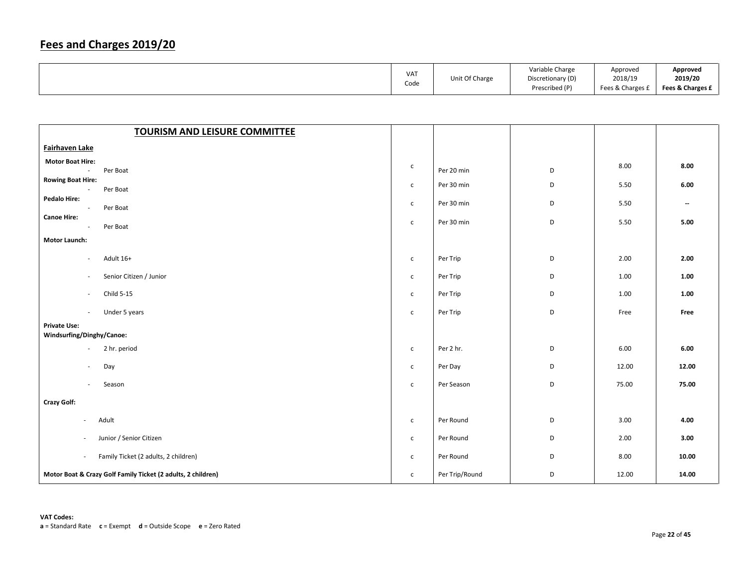|  | <b>VAT</b><br>Code | Unit Of Charge | Variable Charge<br>Discretionary (D)<br>Prescribed (P) | Approved<br>2018/19<br>Fees & Charges £ | Approved<br>2019/20<br>Fees & Charges £ |
|--|--------------------|----------------|--------------------------------------------------------|-----------------------------------------|-----------------------------------------|
|--|--------------------|----------------|--------------------------------------------------------|-----------------------------------------|-----------------------------------------|

| <b>TOURISM AND LEISURE COMMITTEE</b>                            |              |                |   |       |                          |
|-----------------------------------------------------------------|--------------|----------------|---|-------|--------------------------|
| Fairhaven Lake                                                  |              |                |   |       |                          |
| <b>Motor Boat Hire:</b><br>Per Boat<br>$\overline{\phantom{a}}$ | $\mathsf{C}$ | Per 20 min     | D | 8.00  | 8.00                     |
| <b>Rowing Boat Hire:</b>                                        | $\mathsf{C}$ | Per 30 min     | D | 5.50  | 6.00                     |
| Per Boat<br>$\sim$<br><b>Pedalo Hire:</b>                       |              |                |   |       |                          |
| Per Boat<br>$\sim$                                              | $\mathsf{C}$ | Per 30 min     | D | 5.50  | $\overline{\phantom{a}}$ |
| <b>Canoe Hire:</b><br>Per Boat<br>$\sim$                        | $\mathsf{C}$ | Per 30 min     | D | 5.50  | 5.00                     |
| <b>Motor Launch:</b>                                            |              |                |   |       |                          |
| Adult 16+<br>$\overline{\phantom{a}}$                           | $\mathsf{C}$ | Per Trip       | D | 2.00  | 2.00                     |
| Senior Citizen / Junior<br>$\sim$                               | $\mathsf{C}$ | Per Trip       | D | 1.00  | 1.00                     |
| Child 5-15<br>$\overline{\phantom{a}}$                          | $\mathsf{C}$ | Per Trip       | D | 1.00  | 1.00                     |
| Under 5 years<br>$\sim$                                         | $\mathsf{C}$ | Per Trip       | D | Free  | Free                     |
| <b>Private Use:</b><br>Windsurfing/Dinghy/Canoe:                |              |                |   |       |                          |
| 2 hr. period<br>$\overline{\phantom{a}}$                        | $\mathsf{C}$ | Per 2 hr.      | D | 6.00  | 6.00                     |
| Day<br>÷                                                        | $\mathsf{C}$ | Per Day        | D | 12.00 | 12.00                    |
| Season<br>$\overline{\phantom{a}}$                              | $\mathsf{C}$ | Per Season     | D | 75.00 | 75.00                    |
| <b>Crazy Golf:</b>                                              |              |                |   |       |                          |
| Adult<br>$\sim$                                                 | $\mathsf{C}$ | Per Round      | D | 3.00  | 4.00                     |
| Junior / Senior Citizen                                         | $\mathsf{C}$ | Per Round      | D | 2.00  | 3.00                     |
| Family Ticket (2 adults, 2 children)<br>$\sim$                  | $\mathsf{C}$ | Per Round      | D | 8.00  | 10.00                    |
| Motor Boat & Crazy Golf Family Ticket (2 adults, 2 children)    | $\mathsf{C}$ | Per Trip/Round | D | 12.00 | 14.00                    |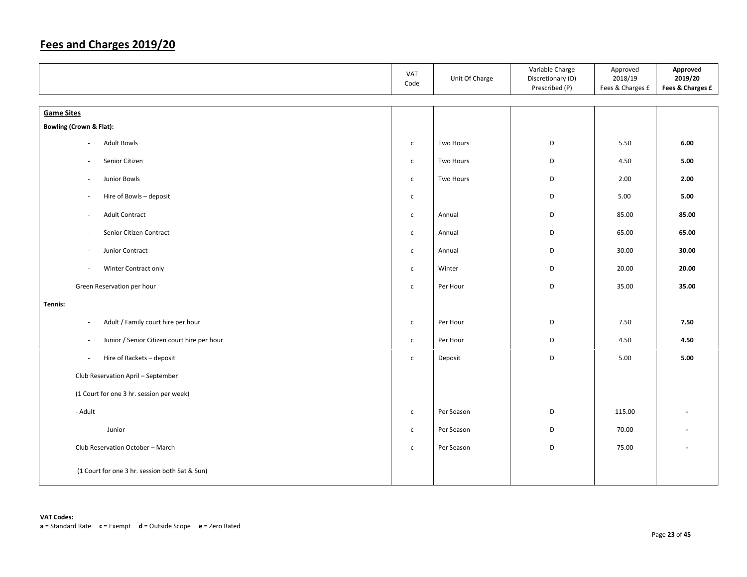|                                                                         | VAT<br>Code  | Unit Of Charge | Variable Charge<br>Discretionary (D)<br>Prescribed (P) | Approved<br>2018/19<br>Fees & Charges £ | Approved<br>2019/20<br>Fees & Charges £ |
|-------------------------------------------------------------------------|--------------|----------------|--------------------------------------------------------|-----------------------------------------|-----------------------------------------|
| <b>Game Sites</b>                                                       |              |                |                                                        |                                         |                                         |
| <b>Bowling (Crown &amp; Flat):</b>                                      |              |                |                                                        |                                         |                                         |
| <b>Adult Bowls</b><br>×.                                                | $\mathsf{C}$ | Two Hours      | D                                                      | 5.50                                    | 6.00                                    |
|                                                                         |              |                |                                                        |                                         |                                         |
| Senior Citizen                                                          | $\mathsf{C}$ | Two Hours      | D                                                      | 4.50                                    | 5.00                                    |
| Junior Bowls<br>$\overline{\phantom{a}}$                                | $\mathsf{C}$ | Two Hours      | D                                                      | 2.00                                    | 2.00                                    |
| Hire of Bowls - deposit<br>$\overline{\phantom{a}}$                     | $\mathsf{C}$ |                | D                                                      | 5.00                                    | 5.00                                    |
| <b>Adult Contract</b><br>$\sim$                                         | $\mathsf{C}$ | Annual         | D                                                      | 85.00                                   | 85.00                                   |
| Senior Citizen Contract<br>$\overline{\phantom{a}}$                     | $\mathsf{C}$ | Annual         | D                                                      | 65.00                                   | 65.00                                   |
| Junior Contract<br>$\overline{\phantom{a}}$                             | $\mathsf{C}$ | Annual         | D                                                      | 30.00                                   | 30.00                                   |
| Winter Contract only<br>$\overline{\phantom{a}}$                        | $\mathsf{C}$ | Winter         | D                                                      | 20.00                                   | 20.00                                   |
| Green Reservation per hour                                              | $\mathsf{c}$ | Per Hour       | D                                                      | 35.00                                   | 35.00                                   |
| Tennis:                                                                 |              |                |                                                        |                                         |                                         |
| Adult / Family court hire per hour<br>$\overline{\phantom{a}}$          | $\mathsf{C}$ | Per Hour       | D                                                      | 7.50                                    | 7.50                                    |
| Junior / Senior Citizen court hire per hour<br>$\overline{\phantom{a}}$ | $\mathsf{C}$ | Per Hour       | D                                                      | 4.50                                    | 4.50                                    |
| Hire of Rackets - deposit<br>$\overline{\phantom{a}}$                   | $\mathsf{C}$ | Deposit        | D                                                      | 5.00                                    | 5.00                                    |
| Club Reservation April - September                                      |              |                |                                                        |                                         |                                         |
| (1 Court for one 3 hr. session per week)                                |              |                |                                                        |                                         |                                         |
| - Adult                                                                 | $\mathsf{C}$ | Per Season     | D                                                      | 115.00                                  |                                         |
| - Junior<br>$\overline{\phantom{a}}$                                    | $\mathsf{C}$ | Per Season     | D                                                      | 70.00                                   |                                         |
| Club Reservation October - March                                        | $\mathsf{C}$ | Per Season     | D                                                      | 75.00                                   |                                         |
| (1 Court for one 3 hr. session both Sat & Sun)                          |              |                |                                                        |                                         |                                         |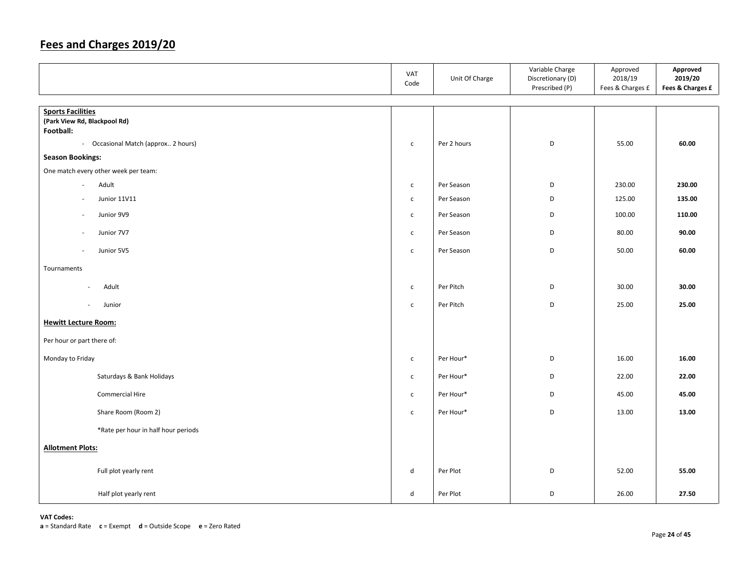|                                                          | VAT<br>Code  | Unit Of Charge | Variable Charge<br>Discretionary (D)<br>Prescribed (P) | Approved<br>2018/19<br>Fees & Charges £ | Approved<br>2019/20<br>Fees & Charges £ |
|----------------------------------------------------------|--------------|----------------|--------------------------------------------------------|-----------------------------------------|-----------------------------------------|
| <b>Sports Facilities</b><br>(Park View Rd, Blackpool Rd) |              |                |                                                        |                                         |                                         |
| Football:<br>- Occasional Match (approx 2 hours)         | $\mathsf{C}$ | Per 2 hours    | D                                                      | 55.00                                   | 60.00                                   |
| <b>Season Bookings:</b>                                  |              |                |                                                        |                                         |                                         |
| One match every other week per team:                     |              |                |                                                        |                                         |                                         |
| Adult<br>$\sim$                                          | $\mathsf{C}$ | Per Season     | D                                                      | 230.00                                  | 230.00                                  |
| Junior 11V11                                             | $\mathsf{C}$ | Per Season     | D                                                      | 125.00                                  | 135.00                                  |
| Junior 9V9                                               | $\mathsf{C}$ | Per Season     | D                                                      | 100.00                                  | 110.00                                  |
| Junior 7V7                                               | $\mathsf{C}$ | Per Season     | D                                                      | 80.00                                   | 90.00                                   |
| Junior 5V5<br>$\overline{\phantom{a}}$                   | $\mathsf{C}$ | Per Season     | D                                                      | 50.00                                   | 60.00                                   |
| Tournaments                                              |              |                |                                                        |                                         |                                         |
| Adult<br>$\sim$                                          | $\mathsf{C}$ | Per Pitch      | D                                                      | 30.00                                   | 30.00                                   |
| Junior<br>$\overline{\phantom{a}}$                       | $\mathsf{C}$ | Per Pitch      | D                                                      | 25.00                                   | 25.00                                   |
| <b>Hewitt Lecture Room:</b>                              |              |                |                                                        |                                         |                                         |
| Per hour or part there of:                               |              |                |                                                        |                                         |                                         |
| Monday to Friday                                         | $\mathsf{C}$ | Per Hour*      | D                                                      | 16.00                                   | 16.00                                   |
| Saturdays & Bank Holidays                                | $\mathsf{C}$ | Per Hour*      | D                                                      | 22.00                                   | 22.00                                   |
| <b>Commercial Hire</b>                                   | $\mathsf{C}$ | Per Hour*      | D                                                      | 45.00                                   | 45.00                                   |
| Share Room (Room 2)                                      | $\mathsf{C}$ | Per Hour*      | D                                                      | 13.00                                   | 13.00                                   |
| *Rate per hour in half hour periods                      |              |                |                                                        |                                         |                                         |
| <b>Allotment Plots:</b>                                  |              |                |                                                        |                                         |                                         |
| Full plot yearly rent                                    | d            | Per Plot       | D                                                      | 52.00                                   | 55.00                                   |
| Half plot yearly rent                                    | d            | Per Plot       | D                                                      | 26.00                                   | 27.50                                   |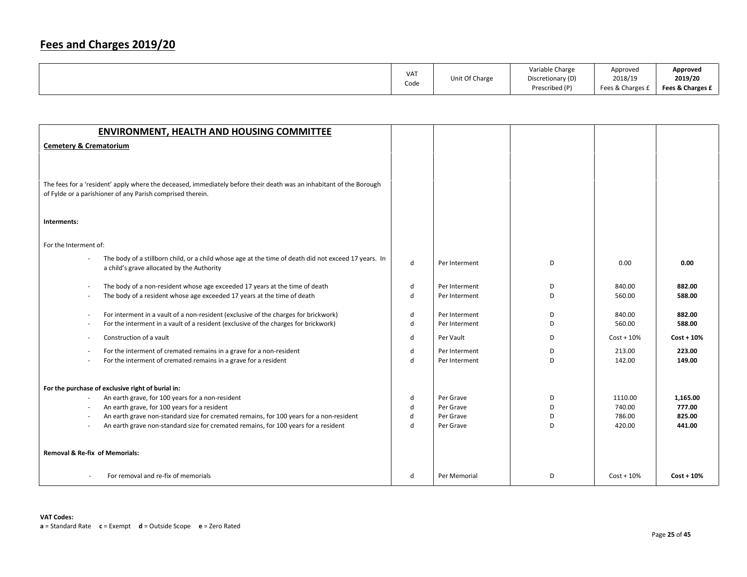|                 | Unit Of Charge | Variable Charge   | Approved         | Approved         |
|-----------------|----------------|-------------------|------------------|------------------|
| VA <sub>1</sub> |                | Discretionary (D) | 2018/19          | 2019/20          |
| Code            |                | Prescribed (P)    | Fees & Charges £ | Fees & Charges £ |

| <b>ENVIRONMENT, HEALTH AND HOUSING COMMITTEE</b>                                                                    |             |               |    |               |              |
|---------------------------------------------------------------------------------------------------------------------|-------------|---------------|----|---------------|--------------|
| <b>Cemetery &amp; Crematorium</b>                                                                                   |             |               |    |               |              |
|                                                                                                                     |             |               |    |               |              |
|                                                                                                                     |             |               |    |               |              |
| The fees for a 'resident' apply where the deceased, immediately before their death was an inhabitant of the Borough |             |               |    |               |              |
| of Fylde or a parishioner of any Parish comprised therein.                                                          |             |               |    |               |              |
|                                                                                                                     |             |               |    |               |              |
|                                                                                                                     |             |               |    |               |              |
| Interments:                                                                                                         |             |               |    |               |              |
|                                                                                                                     |             |               |    |               |              |
| For the Interment of:                                                                                               |             |               |    |               |              |
| The body of a stillborn child, or a child whose age at the time of death did not exceed 17 years. In                | d           | Per Interment | D  | 0.00          | 0.00         |
| a child's grave allocated by the Authority                                                                          |             |               |    |               |              |
| The body of a non-resident whose age exceeded 17 years at the time of death<br>$\overline{\phantom{a}}$             | d           | Per Interment | D  | 840.00        | 882.00       |
| The body of a resident whose age exceeded 17 years at the time of death                                             | d           | Per Interment | D  | 560.00        | 588.00       |
|                                                                                                                     |             |               |    |               |              |
| For interment in a vault of a non-resident (exclusive of the charges for brickwork)<br>$\overline{a}$               | d           | Per Interment | D. | 840.00        | 882.00       |
| For the interment in a vault of a resident (exclusive of the charges for brickwork)<br>$\overline{\phantom{a}}$     | d           | Per Interment | D  | 560.00        | 588.00       |
| Construction of a vault<br>$\sim$                                                                                   | d           | Per Vault     | D  | $Cost + 10\%$ | $Cost + 10%$ |
| For the interment of cremated remains in a grave for a non-resident                                                 | d           | Per Interment | D  | 213.00        | 223.00       |
| For the interment of cremated remains in a grave for a resident                                                     | d           | Per Interment | D  | 142.00        | 149.00       |
|                                                                                                                     |             |               |    |               |              |
| For the purchase of exclusive right of burial in:                                                                   |             |               |    |               |              |
| An earth grave, for 100 years for a non-resident<br>$\overline{\phantom{a}}$                                        | d           | Per Grave     | D  | 1110.00       | 1,165.00     |
| An earth grave, for 100 years for a resident<br>$\sim$                                                              | d           | Per Grave     | D. | 740.00        | 777.00       |
| An earth grave non-standard size for cremated remains, for 100 years for a non-resident                             | d           | Per Grave     | D  | 786.00        | 825.00       |
| An earth grave non-standard size for cremated remains, for 100 years for a resident                                 | $\mathbf d$ | Per Grave     | D  | 420.00        | 441.00       |
|                                                                                                                     |             |               |    |               |              |
| Removal & Re-fix of Memorials:                                                                                      |             |               |    |               |              |
|                                                                                                                     |             |               |    |               |              |
| For removal and re-fix of memorials                                                                                 | d           | Per Memorial  | D  | $Cost + 10\%$ | $Cost + 10%$ |
|                                                                                                                     |             |               |    |               |              |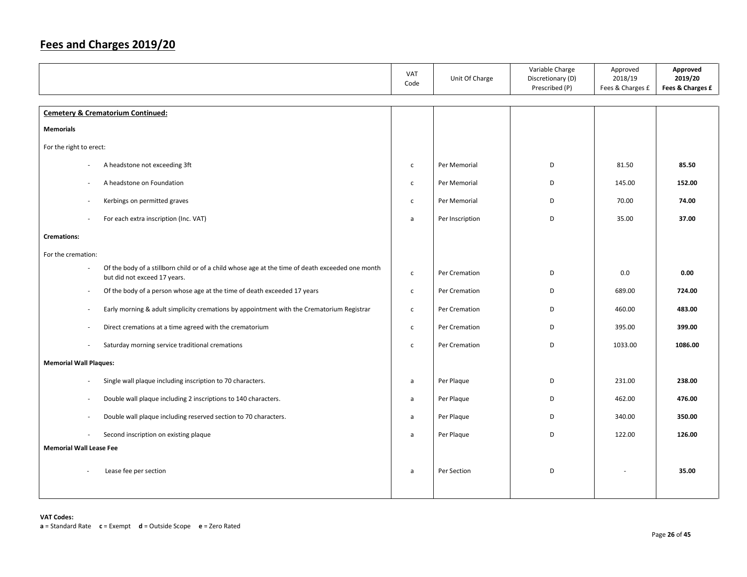|                                                                                                                                  | VAT<br>Code  | Unit Of Charge  | Variable Charge<br>Discretionary (D)<br>Prescribed (P) | Approved<br>2018/19<br>Fees & Charges £ | Approved<br>2019/20<br>Fees & Charges £ |
|----------------------------------------------------------------------------------------------------------------------------------|--------------|-----------------|--------------------------------------------------------|-----------------------------------------|-----------------------------------------|
| <b>Cemetery &amp; Crematorium Continued:</b>                                                                                     |              |                 |                                                        |                                         |                                         |
| <b>Memorials</b>                                                                                                                 |              |                 |                                                        |                                         |                                         |
| For the right to erect:                                                                                                          |              |                 |                                                        |                                         |                                         |
| A headstone not exceeding 3ft                                                                                                    | $\mathsf{C}$ | Per Memorial    | D                                                      | 81.50                                   | 85.50                                   |
| A headstone on Foundation<br>÷.                                                                                                  | $\mathsf{C}$ | Per Memorial    | D                                                      | 145.00                                  | 152.00                                  |
| Kerbings on permitted graves                                                                                                     | $\mathsf{C}$ | Per Memorial    | D                                                      | 70.00                                   | 74.00                                   |
| For each extra inscription (Inc. VAT)                                                                                            | a            | Per Inscription | D                                                      | 35.00                                   | 37.00                                   |
| <b>Cremations:</b>                                                                                                               |              |                 |                                                        |                                         |                                         |
| For the cremation:                                                                                                               |              |                 |                                                        |                                         |                                         |
| Of the body of a stillborn child or of a child whose age at the time of death exceeded one month<br>but did not exceed 17 years. | $\mathsf{C}$ | Per Cremation   | D                                                      | 0.0                                     | 0.00                                    |
| Of the body of a person whose age at the time of death exceeded 17 years<br>$\overline{\phantom{a}}$                             | $\mathsf{C}$ | Per Cremation   | D                                                      | 689.00                                  | 724.00                                  |
| Early morning & adult simplicity cremations by appointment with the Crematorium Registrar<br>$\overline{\phantom{a}}$            | $\mathsf{C}$ | Per Cremation   | D                                                      | 460.00                                  | 483.00                                  |
| Direct cremations at a time agreed with the crematorium<br>$\sim$                                                                | $\mathsf{C}$ | Per Cremation   | D                                                      | 395.00                                  | 399.00                                  |
| Saturday morning service traditional cremations<br>$\overline{\phantom{a}}$                                                      | $\mathsf{C}$ | Per Cremation   | D                                                      | 1033.00                                 | 1086.00                                 |
| <b>Memorial Wall Plaques:</b>                                                                                                    |              |                 |                                                        |                                         |                                         |
| Single wall plaque including inscription to 70 characters.<br>×,                                                                 | a            | Per Plaque      | D                                                      | 231.00                                  | 238.00                                  |
| Double wall plaque including 2 inscriptions to 140 characters.<br>$\overline{a}$                                                 | a            | Per Plaque      | D                                                      | 462.00                                  | 476.00                                  |
| Double wall plaque including reserved section to 70 characters.<br>×,                                                            | a            | Per Plaque      | D                                                      | 340.00                                  | 350.00                                  |
| Second inscription on existing plaque                                                                                            | a            | Per Plaque      | D                                                      | 122.00                                  | 126.00                                  |
| <b>Memorial Wall Lease Fee</b>                                                                                                   |              |                 |                                                        |                                         |                                         |
| Lease fee per section                                                                                                            | a            | Per Section     | D                                                      |                                         | 35.00                                   |
|                                                                                                                                  |              |                 |                                                        |                                         |                                         |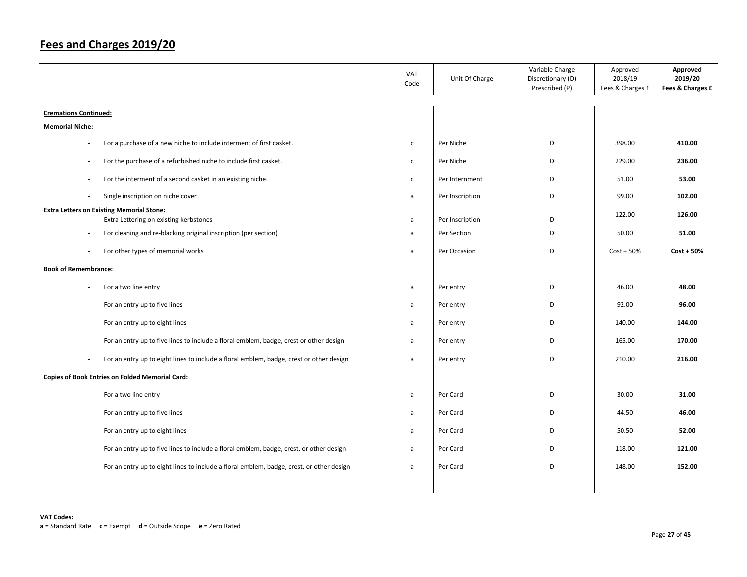|                                                                                                                     | VAT<br>Code  | Unit Of Charge  | Variable Charge<br>Discretionary (D)<br>Prescribed (P) | Approved<br>2018/19<br>Fees & Charges £ | Approved<br>2019/20<br>Fees & Charges £ |
|---------------------------------------------------------------------------------------------------------------------|--------------|-----------------|--------------------------------------------------------|-----------------------------------------|-----------------------------------------|
|                                                                                                                     |              |                 |                                                        |                                         |                                         |
| <b>Cremations Continued:</b>                                                                                        |              |                 |                                                        |                                         |                                         |
| <b>Memorial Niche:</b>                                                                                              |              |                 |                                                        |                                         |                                         |
| For a purchase of a new niche to include interment of first casket.<br>÷,                                           | $\mathsf{C}$ | Per Niche       | D                                                      | 398.00                                  | 410.00                                  |
| For the purchase of a refurbished niche to include first casket.<br>$\overline{\phantom{a}}$                        | $\mathsf{C}$ | Per Niche       | D                                                      | 229.00                                  | 236.00                                  |
| For the interment of a second casket in an existing niche.<br>$\overline{\phantom{a}}$                              | $\mathsf{C}$ | Per Internment  | D                                                      | 51.00                                   | 53.00                                   |
| Single inscription on niche cover<br>$\sim$                                                                         | a            | Per Inscription | D                                                      | 99.00                                   | 102.00                                  |
| <b>Extra Letters on Existing Memorial Stone:</b>                                                                    |              |                 |                                                        | 122.00                                  | 126.00                                  |
| Extra Lettering on existing kerbstones<br>$\overline{\phantom{a}}$                                                  | a            | Per Inscription | D                                                      |                                         |                                         |
| For cleaning and re-blacking original inscription (per section)<br>$\overline{\phantom{a}}$                         | $\mathsf{a}$ | Per Section     | D                                                      | 50.00                                   | 51.00                                   |
| For other types of memorial works<br>$\overline{\phantom{a}}$                                                       | a            | Per Occasion    | D                                                      | $Cost + 50%$                            | $Cost + 50%$                            |
| <b>Book of Remembrance:</b>                                                                                         |              |                 |                                                        |                                         |                                         |
| For a two line entry<br>$\overline{\phantom{a}}$                                                                    | a            | Per entry       | D                                                      | 46.00                                   | 48.00                                   |
| For an entry up to five lines<br>$\overline{\phantom{a}}$                                                           | a            | Per entry       | D                                                      | 92.00                                   | 96.00                                   |
| For an entry up to eight lines<br>$\overline{\phantom{a}}$                                                          | $\mathsf{a}$ | Per entry       | D                                                      | 140.00                                  | 144.00                                  |
| For an entry up to five lines to include a floral emblem, badge, crest or other design<br>$\overline{\phantom{a}}$  | $\mathsf{a}$ | Per entry       | D                                                      | 165.00                                  | 170.00                                  |
| For an entry up to eight lines to include a floral emblem, badge, crest or other design<br>J.                       | a            | Per entry       | D                                                      | 210.00                                  | 216.00                                  |
| <b>Copies of Book Entries on Folded Memorial Card:</b>                                                              |              |                 |                                                        |                                         |                                         |
| For a two line entry                                                                                                | a            | Per Card        | D                                                      | 30.00                                   | 31.00                                   |
| For an entry up to five lines<br>$\overline{\phantom{a}}$                                                           | a            | Per Card        | D                                                      | 44.50                                   | 46.00                                   |
| For an entry up to eight lines<br>×.                                                                                | $\mathsf{a}$ | Per Card        | D                                                      | 50.50                                   | 52.00                                   |
| For an entry up to five lines to include a floral emblem, badge, crest, or other design<br>$\overline{\phantom{a}}$ | $\mathsf{a}$ | Per Card        | D                                                      | 118.00                                  | 121.00                                  |
| For an entry up to eight lines to include a floral emblem, badge, crest, or other design<br>$\overline{a}$          | a            | Per Card        | D                                                      | 148.00                                  | 152.00                                  |
|                                                                                                                     |              |                 |                                                        |                                         |                                         |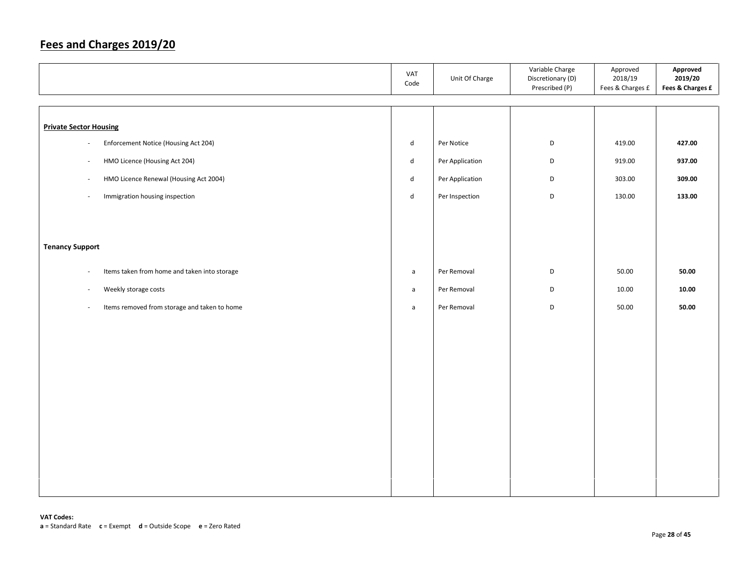|                                                                          | VAT<br>Code  | Unit Of Charge  | Variable Charge<br>Discretionary (D)<br>Prescribed (P) | Approved<br>2018/19<br>Fees & Charges £ | Approved<br>2019/20<br>Fees & Charges £ |
|--------------------------------------------------------------------------|--------------|-----------------|--------------------------------------------------------|-----------------------------------------|-----------------------------------------|
|                                                                          |              |                 |                                                        |                                         |                                         |
| <b>Private Sector Housing</b>                                            |              |                 |                                                        |                                         |                                         |
| Enforcement Notice (Housing Act 204)<br>$\bar{a}$                        | d            | Per Notice      | D                                                      | 419.00                                  | 427.00                                  |
| HMO Licence (Housing Act 204)<br>$\overline{\phantom{a}}$                | d            | Per Application | D                                                      | 919.00                                  | 937.00                                  |
| HMO Licence Renewal (Housing Act 2004)<br>$\sim$                         | d            | Per Application | D                                                      | 303.00                                  | 309.00                                  |
| Immigration housing inspection<br>$\overline{\phantom{a}}$               | d            | Per Inspection  | D                                                      | 130.00                                  | 133.00                                  |
|                                                                          |              |                 |                                                        |                                         |                                         |
|                                                                          |              |                 |                                                        |                                         |                                         |
| <b>Tenancy Support</b>                                                   |              |                 |                                                        |                                         |                                         |
| Items taken from home and taken into storage<br>$\overline{\phantom{a}}$ | a            | Per Removal     | D                                                      | 50.00                                   | 50.00                                   |
| Weekly storage costs<br>$\overline{\phantom{a}}$                         | $\mathsf{a}$ | Per Removal     | D                                                      | 10.00                                   | 10.00                                   |
| Items removed from storage and taken to home<br>$\overline{\phantom{a}}$ | $\mathsf{a}$ | Per Removal     | D                                                      | 50.00                                   | 50.00                                   |
|                                                                          |              |                 |                                                        |                                         |                                         |
|                                                                          |              |                 |                                                        |                                         |                                         |
|                                                                          |              |                 |                                                        |                                         |                                         |
|                                                                          |              |                 |                                                        |                                         |                                         |
|                                                                          |              |                 |                                                        |                                         |                                         |
|                                                                          |              |                 |                                                        |                                         |                                         |
|                                                                          |              |                 |                                                        |                                         |                                         |
|                                                                          |              |                 |                                                        |                                         |                                         |
|                                                                          |              |                 |                                                        |                                         |                                         |
|                                                                          |              |                 |                                                        |                                         |                                         |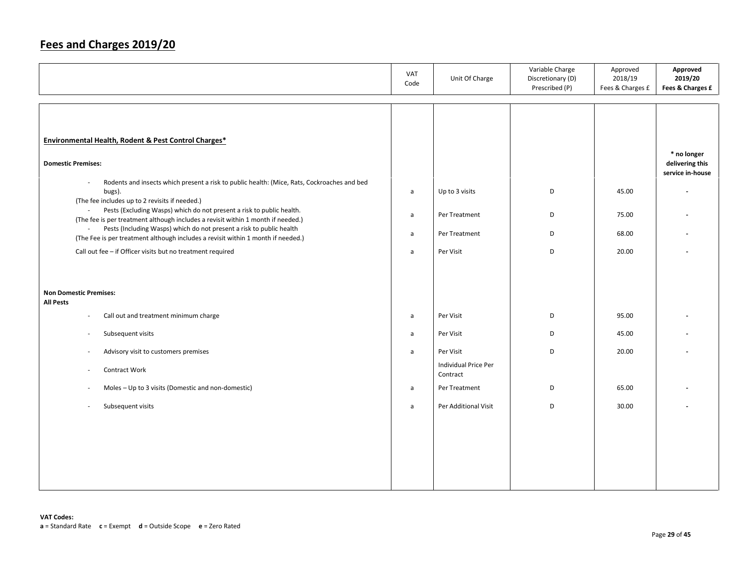|                                                                                                                                                                                                                                                                                                                                                                                                                                                                                                                                                                                                                                                                                                 | <b>VAT</b><br>Code                                | Unit Of Charge                                                | Variable Charge<br>Discretionary (D)<br>Prescribed (P) | Approved<br>2018/19<br>Fees & Charges £ | Approved<br>2019/20<br>Fees & Charges £            |
|-------------------------------------------------------------------------------------------------------------------------------------------------------------------------------------------------------------------------------------------------------------------------------------------------------------------------------------------------------------------------------------------------------------------------------------------------------------------------------------------------------------------------------------------------------------------------------------------------------------------------------------------------------------------------------------------------|---------------------------------------------------|---------------------------------------------------------------|--------------------------------------------------------|-----------------------------------------|----------------------------------------------------|
| <b>Environmental Health, Rodent &amp; Pest Control Charges*</b><br><b>Domestic Premises:</b><br>Rodents and insects which present a risk to public health: (Mice, Rats, Cockroaches and bed<br>÷,<br>bugs).<br>(The fee includes up to 2 revisits if needed.)<br>Pests (Excluding Wasps) which do not present a risk to public health.<br>$\omega$<br>(The fee is per treatment although includes a revisit within 1 month if needed.)<br>Pests (Including Wasps) which do not present a risk to public health<br>$\mathcal{L}_{\mathcal{A}}$<br>(The Fee is per treatment although includes a revisit within 1 month if needed.)<br>Call out fee - if Officer visits but no treatment required | $\mathsf{a}$<br>a<br>$\mathsf{a}$<br>$\mathsf{a}$ | Up to 3 visits<br>Per Treatment<br>Per Treatment<br>Per Visit | D<br>D<br>D<br>D                                       | 45.00<br>75.00<br>68.00<br>20.00        | * no longer<br>delivering this<br>service in-house |
| <b>Non Domestic Premises:</b><br><b>All Pests</b>                                                                                                                                                                                                                                                                                                                                                                                                                                                                                                                                                                                                                                               |                                                   |                                                               |                                                        |                                         |                                                    |
| Call out and treatment minimum charge<br>$\overline{\phantom{a}}$                                                                                                                                                                                                                                                                                                                                                                                                                                                                                                                                                                                                                               | $\mathsf{a}$                                      | Per Visit                                                     | D                                                      | 95.00                                   |                                                    |
| Subsequent visits<br>٠                                                                                                                                                                                                                                                                                                                                                                                                                                                                                                                                                                                                                                                                          | a                                                 | Per Visit                                                     | D                                                      | 45.00                                   |                                                    |
| Advisory visit to customers premises<br>÷,<br>Contract Work<br>÷,                                                                                                                                                                                                                                                                                                                                                                                                                                                                                                                                                                                                                               | a                                                 | Per Visit<br>Individual Price Per<br>Contract                 | D                                                      | 20.00                                   |                                                    |
| Moles - Up to 3 visits (Domestic and non-domestic)<br>÷,                                                                                                                                                                                                                                                                                                                                                                                                                                                                                                                                                                                                                                        | a                                                 | Per Treatment                                                 | D                                                      | 65.00                                   |                                                    |
| Subsequent visits<br>÷,                                                                                                                                                                                                                                                                                                                                                                                                                                                                                                                                                                                                                                                                         | a                                                 | Per Additional Visit                                          | D                                                      | 30.00                                   |                                                    |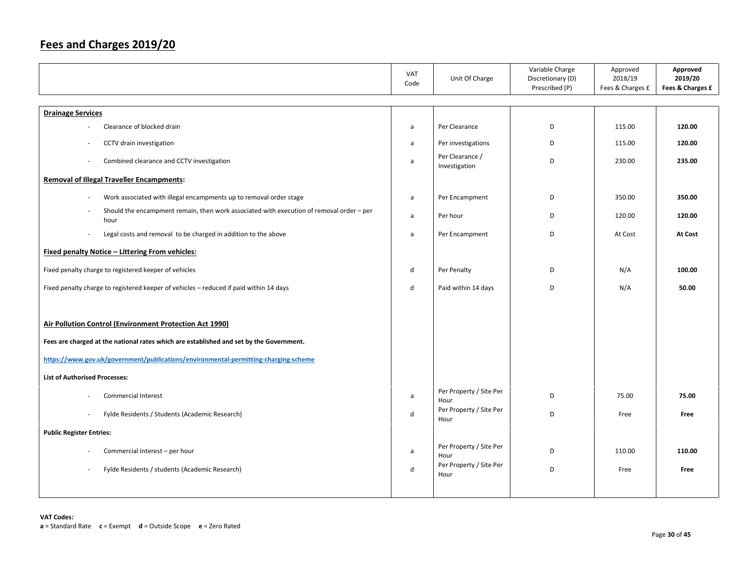|                                                                                                  | VAT<br>Code  | Unit Of Charge                   | Variable Charge<br>Discretionary (D)<br>Prescribed (P) | Approved<br>2018/19<br>Fees & Charges £ | Approved<br>2019/20<br>Fees & Charges £ |
|--------------------------------------------------------------------------------------------------|--------------|----------------------------------|--------------------------------------------------------|-----------------------------------------|-----------------------------------------|
| <b>Drainage Services</b>                                                                         |              |                                  |                                                        |                                         |                                         |
| Clearance of blocked drain                                                                       | a            | Per Clearance                    | D                                                      | 115.00                                  | 120.00                                  |
| CCTV drain investigation                                                                         | $\mathsf{a}$ | Per investigations               | D                                                      | 115.00                                  | 120.00                                  |
| Combined clearance and CCTV investigation                                                        | a            | Per Clearance /<br>Investigation | D                                                      | 230.00                                  | 235.00                                  |
| <b>Removal of Illegal Traveller Encampments:</b>                                                 |              |                                  |                                                        |                                         |                                         |
| Work associated with illegal encampments up to removal order stage<br>$\sim$                     | a            | Per Encampment                   | D                                                      | 350.00                                  | 350.00                                  |
| Should the encampment remain, then work associated with execution of removal order - per<br>hour | $\mathsf{a}$ | Per hour                         | D                                                      | 120.00                                  | 120.00                                  |
| Legal costs and removal to be charged in addition to the above<br>÷.                             | a            | Per Encampment                   | D                                                      | At Cost                                 | At Cost                                 |
| <b>Fixed penalty Notice - Littering From vehicles:</b>                                           |              |                                  |                                                        |                                         |                                         |
| Fixed penalty charge to registered keeper of vehicles                                            | d            | Per Penalty                      | D                                                      | N/A                                     | 100.00                                  |
| Fixed penalty charge to registered keeper of vehicles - reduced if paid within 14 days           | d            | Paid within 14 days              | D                                                      | N/A                                     | 50.00                                   |
| Air Pollution Control (Environment Protection Act 1990)                                          |              |                                  |                                                        |                                         |                                         |
| Fees are charged at the national rates which are established and set by the Government.          |              |                                  |                                                        |                                         |                                         |
| https://www.gov.uk/government/publications/environmental-permitting-charging-scheme              |              |                                  |                                                        |                                         |                                         |
| <b>List of Authorised Processes:</b>                                                             |              |                                  |                                                        |                                         |                                         |
| Commercial Interest                                                                              | $\mathsf{a}$ | Per Property / Site Per<br>Hour  | D                                                      | 75.00                                   | 75.00                                   |
| Fylde Residents / Students (Academic Research)                                                   | $\sf d$      | Per Property / Site Per<br>Hour  | D                                                      | Free                                    | Free                                    |
| <b>Public Register Entries:</b>                                                                  |              |                                  |                                                        |                                         |                                         |
| Commercial Interest - per hour                                                                   | a            | Per Property / Site Per<br>Hour  | D                                                      | 110.00                                  | 110.00                                  |
| Fylde Residents / students (Academic Research)                                                   | d            | Per Property / Site Per<br>Hour  | D                                                      | Free                                    | Free                                    |
|                                                                                                  |              |                                  |                                                        |                                         |                                         |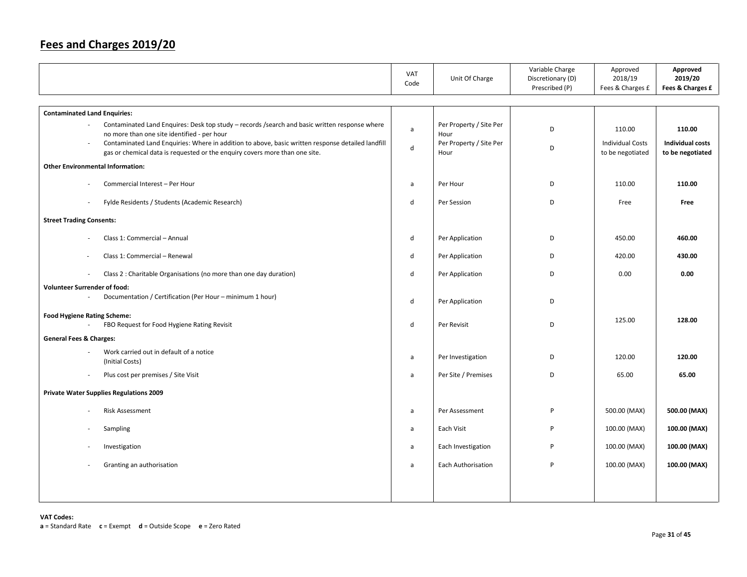|                                                                                                                                                                                                                                 | <b>VAT</b><br>Code | Unit Of Charge                          | Variable Charge<br>Discretionary (D)<br>Prescribed (P) | Approved<br>2018/19<br>Fees & Charges £     | Approved<br>2019/20<br>Fees & Charges £     |
|---------------------------------------------------------------------------------------------------------------------------------------------------------------------------------------------------------------------------------|--------------------|-----------------------------------------|--------------------------------------------------------|---------------------------------------------|---------------------------------------------|
| <b>Contaminated Land Enquiries:</b>                                                                                                                                                                                             |                    |                                         |                                                        |                                             |                                             |
| Contaminated Land Enquires: Desk top study - records /search and basic written response where                                                                                                                                   | $\mathsf{a}$       | Per Property / Site Per                 | D                                                      | 110.00                                      | 110.00                                      |
| no more than one site identified - per hour<br>Contaminated Land Enquiries: Where in addition to above, basic written response detailed landfill<br>gas or chemical data is requested or the enquiry covers more than one site. | $\mathsf{d}$       | Hour<br>Per Property / Site Per<br>Hour | D                                                      | <b>Individual Costs</b><br>to be negotiated | <b>Individual costs</b><br>to be negotiated |
| <b>Other Environmental Information:</b>                                                                                                                                                                                         |                    |                                         |                                                        |                                             |                                             |
| Commercial Interest - Per Hour                                                                                                                                                                                                  | a                  | Per Hour                                | D                                                      | 110.00                                      | 110.00                                      |
| Fylde Residents / Students (Academic Research)                                                                                                                                                                                  | d                  | Per Session                             | D                                                      | Free                                        | Free                                        |
| <b>Street Trading Consents:</b>                                                                                                                                                                                                 |                    |                                         |                                                        |                                             |                                             |
| Class 1: Commercial - Annual                                                                                                                                                                                                    | d                  | Per Application                         | D                                                      | 450.00                                      | 460.00                                      |
| Class 1: Commercial - Renewal                                                                                                                                                                                                   | d                  | Per Application                         | D                                                      | 420.00                                      | 430.00                                      |
| Class 2 : Charitable Organisations (no more than one day duration)                                                                                                                                                              | d                  | Per Application                         | D                                                      | 0.00                                        | 0.00                                        |
| <b>Volunteer Surrender of food:</b>                                                                                                                                                                                             |                    |                                         |                                                        |                                             |                                             |
| Documentation / Certification (Per Hour - minimum 1 hour)                                                                                                                                                                       | d                  | Per Application                         | D                                                      |                                             |                                             |
| <b>Food Hygiene Rating Scheme:</b><br>FBO Request for Food Hygiene Rating Revisit                                                                                                                                               | $\mathsf{d}$       | Per Revisit                             | D                                                      | 125.00                                      | 128.00                                      |
| <b>General Fees &amp; Charges:</b>                                                                                                                                                                                              |                    |                                         |                                                        |                                             |                                             |
| Work carried out in default of a notice<br>(Initial Costs)                                                                                                                                                                      | a                  | Per Investigation                       | D                                                      | 120.00                                      | 120.00                                      |
| Plus cost per premises / Site Visit<br>$\sim$                                                                                                                                                                                   | a                  | Per Site / Premises                     | D                                                      | 65.00                                       | 65.00                                       |
| <b>Private Water Supplies Regulations 2009</b>                                                                                                                                                                                  |                    |                                         |                                                        |                                             |                                             |
| <b>Risk Assessment</b>                                                                                                                                                                                                          | a                  | Per Assessment                          | P                                                      | 500.00 (MAX)                                | 500.00 (MAX)                                |
| Sampling                                                                                                                                                                                                                        | $\mathsf{a}$       | Each Visit                              | P                                                      | 100.00 (MAX)                                | 100.00 (MAX)                                |
| Investigation                                                                                                                                                                                                                   | a                  | Each Investigation                      | P                                                      | 100.00 (MAX)                                | 100.00 (MAX)                                |
| Granting an authorisation                                                                                                                                                                                                       | a                  | <b>Each Authorisation</b>               | P                                                      | 100.00 (MAX)                                | 100.00 (MAX)                                |
|                                                                                                                                                                                                                                 |                    |                                         |                                                        |                                             |                                             |
|                                                                                                                                                                                                                                 |                    |                                         |                                                        |                                             |                                             |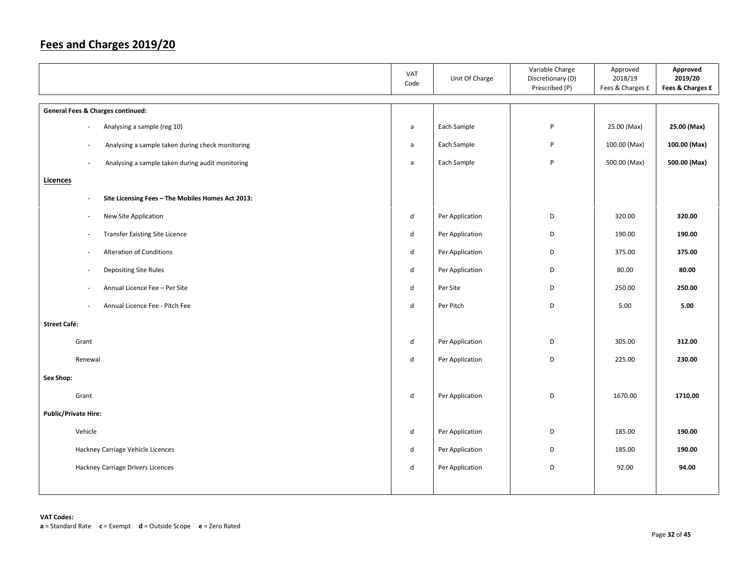|                                                                               | VAT<br>Code                 | Unit Of Charge  | Variable Charge<br>Discretionary (D)<br>Prescribed (P) | Approved<br>2018/19<br>Fees & Charges £ | Approved<br>2019/20<br>Fees & Charges £ |
|-------------------------------------------------------------------------------|-----------------------------|-----------------|--------------------------------------------------------|-----------------------------------------|-----------------------------------------|
| <b>General Fees &amp; Charges continued:</b>                                  |                             |                 |                                                        |                                         |                                         |
| Analysing a sample (reg 10)                                                   | $\mathsf{a}$                | Each Sample     | P                                                      | 25.00 (Max)                             | 25.00 (Max)                             |
| Analysing a sample taken during check monitoring<br>$\overline{\phantom{a}}$  | a                           | Each Sample     | P                                                      | 100.00 (Max)                            | 100.00 (Max)                            |
| Analysing a sample taken during audit monitoring                              | $\mathsf{a}$                | Each Sample     | P                                                      | 500.00 (Max)                            | 500.00 (Max)                            |
| <b>Licences</b>                                                               |                             |                 |                                                        |                                         |                                         |
| Site Licensing Fees - The Mobiles Homes Act 2013:<br>$\overline{\phantom{a}}$ |                             |                 |                                                        |                                         |                                         |
| New Site Application<br>$\sim$                                                | d                           | Per Application | D                                                      | 320.00                                  | 320.00                                  |
| <b>Transfer Existing Site Licence</b><br>$\overline{\phantom{a}}$             | $\operatorname{\mathsf{d}}$ | Per Application | D                                                      | 190.00                                  | 190.00                                  |
| Alteration of Conditions                                                      | d                           | Per Application | D                                                      | 375.00                                  | 375.00                                  |
| <b>Depositing Site Rules</b>                                                  | d                           | Per Application | D                                                      | 80.00                                   | 80.00                                   |
| Annual Licence Fee - Per Site                                                 | $\operatorname{\mathsf{d}}$ | Per Site        | D                                                      | 250.00                                  | 250.00                                  |
| Annual Licence Fee - Pitch Fee<br>$\overline{\phantom{a}}$                    | d                           | Per Pitch       | D                                                      | 5.00                                    | 5.00                                    |
| <b>Street Café:</b>                                                           |                             |                 |                                                        |                                         |                                         |
| Grant                                                                         | d                           | Per Application | D                                                      | 305.00                                  | 312.00                                  |
| Renewal                                                                       | d                           | Per Application | D                                                      | 225.00                                  | 230.00                                  |
| Sex Shop:                                                                     |                             |                 |                                                        |                                         |                                         |
| Grant                                                                         | ${\sf d}$                   | Per Application | D                                                      | 1670.00                                 | 1710.00                                 |
| <b>Public/Private Hire:</b>                                                   |                             |                 |                                                        |                                         |                                         |
| Vehicle                                                                       | d                           | Per Application | D                                                      | 185.00                                  | 190.00                                  |
| Hackney Carriage Vehicle Licences                                             | d                           | Per Application | D                                                      | 185.00                                  | 190.00                                  |
| Hackney Carriage Drivers Licences                                             | d                           | Per Application | D                                                      | 92.00                                   | 94.00                                   |
|                                                                               |                             |                 |                                                        |                                         |                                         |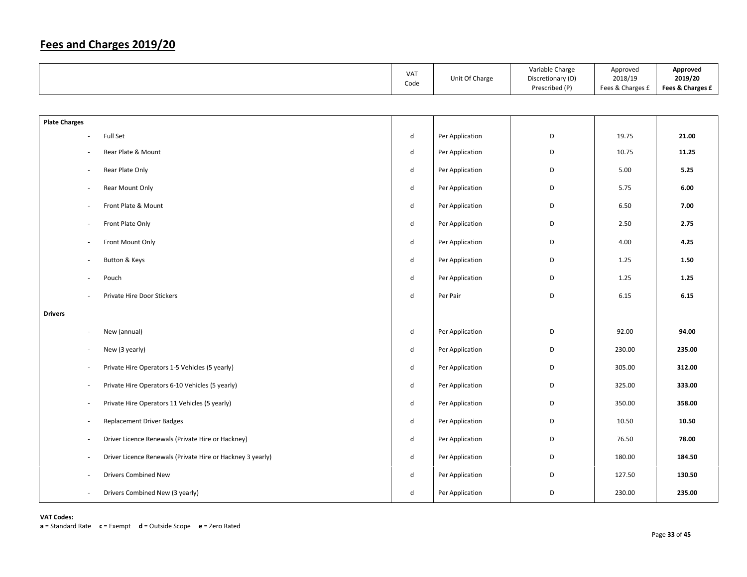|                          |                                                            | VAT<br>Code                 | Unit Of Charge  | Variable Charge<br>Discretionary (D)<br>Prescribed (P) | Approved<br>2018/19<br>Fees & Charges £ | Approved<br>2019/20<br>Fees & Charges £ |
|--------------------------|------------------------------------------------------------|-----------------------------|-----------------|--------------------------------------------------------|-----------------------------------------|-----------------------------------------|
|                          |                                                            |                             |                 |                                                        |                                         |                                         |
| <b>Plate Charges</b>     |                                                            |                             |                 |                                                        |                                         |                                         |
| $\overline{\phantom{a}}$ | Full Set                                                   | $\sf d$                     | Per Application | D                                                      | 19.75                                   | 21.00                                   |
|                          | Rear Plate & Mount                                         | ${\sf d}$                   | Per Application | D                                                      | 10.75                                   | 11.25                                   |
| $\overline{\phantom{a}}$ | Rear Plate Only                                            | ${\sf d}$                   | Per Application | D                                                      | 5.00                                    | 5.25                                    |
| ÷,                       | Rear Mount Only                                            | ${\sf d}$                   | Per Application | D                                                      | 5.75                                    | 6.00                                    |
| ÷,                       | Front Plate & Mount                                        | ${\sf d}$                   | Per Application | D                                                      | 6.50                                    | 7.00                                    |
| $\overline{\phantom{a}}$ | Front Plate Only                                           | $\operatorname{\mathsf{d}}$ | Per Application | D                                                      | 2.50                                    | 2.75                                    |
| $\overline{\phantom{a}}$ | Front Mount Only                                           | d                           | Per Application | D                                                      | 4.00                                    | 4.25                                    |
| $\overline{\phantom{a}}$ | Button & Keys                                              | ${\sf d}$                   | Per Application | D                                                      | 1.25                                    | 1.50                                    |
| $\overline{\phantom{a}}$ | Pouch                                                      | d                           | Per Application | D                                                      | 1.25                                    | 1.25                                    |
| ÷,                       | Private Hire Door Stickers                                 | $\operatorname{\mathsf{d}}$ | Per Pair        | D                                                      | 6.15                                    | 6.15                                    |
| <b>Drivers</b>           |                                                            |                             |                 |                                                        |                                         |                                         |
| $\overline{\phantom{a}}$ | New (annual)                                               | ${\sf d}$                   | Per Application | D                                                      | 92.00                                   | 94.00                                   |
| $\overline{\phantom{a}}$ | New (3 yearly)                                             | ${\sf d}$                   | Per Application | D                                                      | 230.00                                  | 235.00                                  |
| ÷,                       | Private Hire Operators 1-5 Vehicles (5 yearly)             | ${\sf d}$                   | Per Application | D                                                      | 305.00                                  | 312.00                                  |
| ÷,                       | Private Hire Operators 6-10 Vehicles (5 yearly)            | $\sf d$                     | Per Application | D                                                      | 325.00                                  | 333.00                                  |
| ÷,                       | Private Hire Operators 11 Vehicles (5 yearly)              | $\sf d$                     | Per Application | D                                                      | 350.00                                  | 358.00                                  |
| ÷,                       | <b>Replacement Driver Badges</b>                           | d                           | Per Application | D                                                      | 10.50                                   | 10.50                                   |
| $\overline{\phantom{a}}$ | Driver Licence Renewals (Private Hire or Hackney)          | d                           | Per Application | D                                                      | 76.50                                   | 78.00                                   |
| $\overline{\phantom{a}}$ | Driver Licence Renewals (Private Hire or Hackney 3 yearly) | d                           | Per Application | D                                                      | 180.00                                  | 184.50                                  |
| ÷,                       | <b>Drivers Combined New</b>                                | d                           | Per Application | D                                                      | 127.50                                  | 130.50                                  |
| ÷,                       | Drivers Combined New (3 yearly)                            | $\mathsf{d}$                | Per Application | D                                                      | 230.00                                  | 235.00                                  |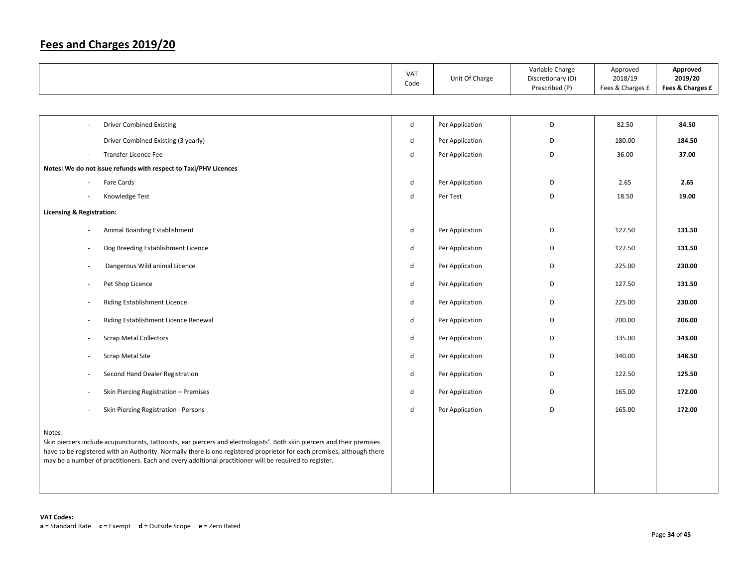|                                                                                                                                                                                                                                                                                                                                                                         | VAT<br>Code  | Unit Of Charge  | Variable Charge<br>Discretionary (D)<br>Prescribed (P) | Approved<br>2018/19<br>Fees & Charges £ | Approved<br>2019/20<br>Fees & Charges £ |
|-------------------------------------------------------------------------------------------------------------------------------------------------------------------------------------------------------------------------------------------------------------------------------------------------------------------------------------------------------------------------|--------------|-----------------|--------------------------------------------------------|-----------------------------------------|-----------------------------------------|
|                                                                                                                                                                                                                                                                                                                                                                         |              |                 |                                                        |                                         |                                         |
| <b>Driver Combined Existing</b>                                                                                                                                                                                                                                                                                                                                         | ${\sf d}$    | Per Application | D                                                      | 82.50                                   | 84.50                                   |
| Driver Combined Existing (3 yearly)                                                                                                                                                                                                                                                                                                                                     | $\mathsf{d}$ | Per Application | D                                                      | 180.00                                  | 184.50                                  |
| <b>Transfer Licence Fee</b>                                                                                                                                                                                                                                                                                                                                             | d            | Per Application | D                                                      | 36.00                                   | 37.00                                   |
| Notes: We do not issue refunds with respect to Taxi/PHV Licences                                                                                                                                                                                                                                                                                                        |              |                 |                                                        |                                         |                                         |
| Fare Cards                                                                                                                                                                                                                                                                                                                                                              | $\mathsf{d}$ | Per Application | D                                                      | 2.65                                    | 2.65                                    |
| Knowledge Test                                                                                                                                                                                                                                                                                                                                                          | d            | Per Test        | D                                                      | 18.50                                   | 19.00                                   |
| <b>Licensing &amp; Registration:</b>                                                                                                                                                                                                                                                                                                                                    |              |                 |                                                        |                                         |                                         |
| Animal Boarding Establishment                                                                                                                                                                                                                                                                                                                                           | ${\sf d}$    | Per Application | D                                                      | 127.50                                  | 131.50                                  |
| Dog Breeding Establishment Licence                                                                                                                                                                                                                                                                                                                                      | $\mathsf{d}$ | Per Application | D                                                      | 127.50                                  | 131.50                                  |
| Dangerous Wild animal Licence                                                                                                                                                                                                                                                                                                                                           | ${\sf d}$    | Per Application | D                                                      | 225.00                                  | 230.00                                  |
| Pet Shop Licence<br>$\overline{\phantom{a}}$                                                                                                                                                                                                                                                                                                                            | d            | Per Application | D                                                      | 127.50                                  | 131.50                                  |
| Riding Establishment Licence                                                                                                                                                                                                                                                                                                                                            | $\mathsf{d}$ | Per Application | D                                                      | 225.00                                  | 230.00                                  |
| Riding Establishment Licence Renewal                                                                                                                                                                                                                                                                                                                                    | ${\sf d}$    | Per Application | D                                                      | 200.00                                  | 206.00                                  |
| <b>Scrap Metal Collectors</b>                                                                                                                                                                                                                                                                                                                                           | ${\sf d}$    | Per Application | D                                                      | 335.00                                  | 343.00                                  |
| Scrap Metal Site                                                                                                                                                                                                                                                                                                                                                        | $\mathsf{d}$ | Per Application | D                                                      | 340.00                                  | 348.50                                  |
| Second Hand Dealer Registration<br>٠                                                                                                                                                                                                                                                                                                                                    | $\mathsf{d}$ | Per Application | D                                                      | 122.50                                  | 125.50                                  |
| Skin Piercing Registration - Premises                                                                                                                                                                                                                                                                                                                                   | $\mathsf{d}$ | Per Application | D                                                      | 165.00                                  | 172.00                                  |
| Skin Piercing Registration - Persons                                                                                                                                                                                                                                                                                                                                    | ${\sf d}$    | Per Application | D                                                      | 165.00                                  | 172.00                                  |
| Notes:<br>Skin piercers include acupuncturists, tattooists, ear piercers and electrologists'. Both skin piercers and their premises<br>have to be registered with an Authority. Normally there is one registered proprietor for each premises, although there<br>may be a number of practitioners. Each and every additional practitioner will be required to register. |              |                 |                                                        |                                         |                                         |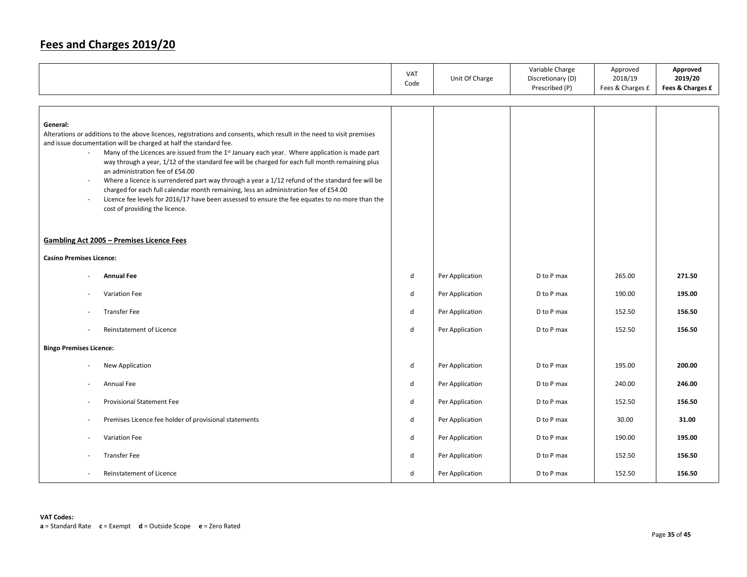|                                                                                                                                                                                                                                                                                                                                                                                                                                                                                                                                                                                                                                                                                                                                                                                                                            | VAT<br>Code | Unit Of Charge  | Variable Charge<br>Discretionary (D)<br>Prescribed (P) | Approved<br>2018/19<br>Fees & Charges £ | Approved<br>2019/20<br>Fees & Charges £ |
|----------------------------------------------------------------------------------------------------------------------------------------------------------------------------------------------------------------------------------------------------------------------------------------------------------------------------------------------------------------------------------------------------------------------------------------------------------------------------------------------------------------------------------------------------------------------------------------------------------------------------------------------------------------------------------------------------------------------------------------------------------------------------------------------------------------------------|-------------|-----------------|--------------------------------------------------------|-----------------------------------------|-----------------------------------------|
|                                                                                                                                                                                                                                                                                                                                                                                                                                                                                                                                                                                                                                                                                                                                                                                                                            |             |                 |                                                        |                                         |                                         |
| General:<br>Alterations or additions to the above licences, registrations and consents, which result in the need to visit premises<br>and issue documentation will be charged at half the standard fee.<br>Many of the Licences are issued from the 1 <sup>st</sup> January each year. Where application is made part<br>$\sim$<br>way through a year, 1/12 of the standard fee will be charged for each full month remaining plus<br>an administration fee of £54.00<br>Where a licence is surrendered part way through a year a 1/12 refund of the standard fee will be<br>$\sim$<br>charged for each full calendar month remaining, less an administration fee of £54.00<br>Licence fee levels for 2016/17 have been assessed to ensure the fee equates to no more than the<br>$\sim$<br>cost of providing the licence. |             |                 |                                                        |                                         |                                         |
| <b>Gambling Act 2005 - Premises Licence Fees</b>                                                                                                                                                                                                                                                                                                                                                                                                                                                                                                                                                                                                                                                                                                                                                                           |             |                 |                                                        |                                         |                                         |
| <b>Casino Premises Licence:</b>                                                                                                                                                                                                                                                                                                                                                                                                                                                                                                                                                                                                                                                                                                                                                                                            |             |                 |                                                        |                                         |                                         |
|                                                                                                                                                                                                                                                                                                                                                                                                                                                                                                                                                                                                                                                                                                                                                                                                                            |             |                 |                                                        |                                         |                                         |
| <b>Annual Fee</b>                                                                                                                                                                                                                                                                                                                                                                                                                                                                                                                                                                                                                                                                                                                                                                                                          | ${\sf d}$   | Per Application | D to P max                                             | 265.00                                  | 271.50                                  |
| Variation Fee                                                                                                                                                                                                                                                                                                                                                                                                                                                                                                                                                                                                                                                                                                                                                                                                              | ${\sf d}$   | Per Application | D to P max                                             | 190.00                                  | 195.00                                  |
| <b>Transfer Fee</b>                                                                                                                                                                                                                                                                                                                                                                                                                                                                                                                                                                                                                                                                                                                                                                                                        | d           | Per Application | D to P max                                             | 152.50                                  | 156.50                                  |
| Reinstatement of Licence                                                                                                                                                                                                                                                                                                                                                                                                                                                                                                                                                                                                                                                                                                                                                                                                   | ${\sf d}$   | Per Application | D to P max                                             | 152.50                                  | 156.50                                  |
| <b>Bingo Premises Licence:</b>                                                                                                                                                                                                                                                                                                                                                                                                                                                                                                                                                                                                                                                                                                                                                                                             |             |                 |                                                        |                                         |                                         |
| New Application                                                                                                                                                                                                                                                                                                                                                                                                                                                                                                                                                                                                                                                                                                                                                                                                            | d           | Per Application | D to P max                                             | 195.00                                  | 200.00                                  |
| Annual Fee                                                                                                                                                                                                                                                                                                                                                                                                                                                                                                                                                                                                                                                                                                                                                                                                                 | ${\sf d}$   | Per Application | D to P max                                             | 240.00                                  | 246.00                                  |
| <b>Provisional Statement Fee</b><br>٠.                                                                                                                                                                                                                                                                                                                                                                                                                                                                                                                                                                                                                                                                                                                                                                                     | ${\sf d}$   | Per Application | D to P max                                             | 152.50                                  | 156.50                                  |
| Premises Licence fee holder of provisional statements                                                                                                                                                                                                                                                                                                                                                                                                                                                                                                                                                                                                                                                                                                                                                                      | ${\sf d}$   | Per Application | D to P max                                             | 30.00                                   | 31.00                                   |
| Variation Fee                                                                                                                                                                                                                                                                                                                                                                                                                                                                                                                                                                                                                                                                                                                                                                                                              | d           | Per Application | D to P max                                             | 190.00                                  | 195.00                                  |
| <b>Transfer Fee</b>                                                                                                                                                                                                                                                                                                                                                                                                                                                                                                                                                                                                                                                                                                                                                                                                        | d           | Per Application | D to P max                                             | 152.50                                  | 156.50                                  |
| Reinstatement of Licence                                                                                                                                                                                                                                                                                                                                                                                                                                                                                                                                                                                                                                                                                                                                                                                                   | d           | Per Application | D to P max                                             | 152.50                                  | 156.50                                  |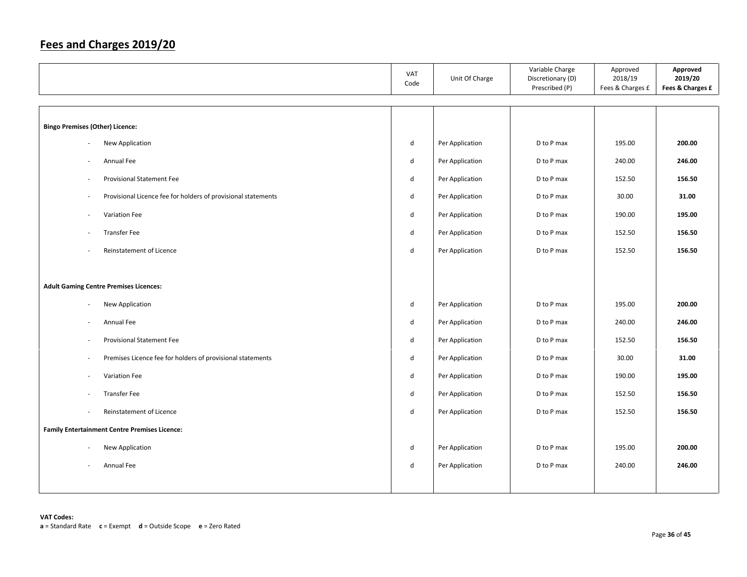|                                                                      | VAT<br>Code | Unit Of Charge  | Variable Charge<br>Discretionary (D)<br>Prescribed (P) | Approved<br>2018/19<br>Fees & Charges £ | Approved<br>2019/20<br>Fees & Charges £ |
|----------------------------------------------------------------------|-------------|-----------------|--------------------------------------------------------|-----------------------------------------|-----------------------------------------|
|                                                                      |             |                 |                                                        |                                         |                                         |
| <b>Bingo Premises (Other) Licence:</b>                               |             |                 |                                                        |                                         |                                         |
| New Application<br>÷.                                                | d           | Per Application | D to P max                                             | 195.00                                  | 200.00                                  |
| Annual Fee<br>$\sim$                                                 | d           | Per Application | D to P max                                             | 240.00                                  | 246.00                                  |
| <b>Provisional Statement Fee</b><br>$\sim$                           | d           | Per Application | D to P max                                             | 152.50                                  | 156.50                                  |
| Provisional Licence fee for holders of provisional statements<br>٠.  | d           | Per Application | D to P max                                             | 30.00                                   | 31.00                                   |
| Variation Fee<br>$\sim$                                              | d           | Per Application | D to P max                                             | 190.00                                  | 195.00                                  |
| <b>Transfer Fee</b><br>$\overline{\phantom{a}}$                      | d           | Per Application | D to P max                                             | 152.50                                  | 156.50                                  |
| Reinstatement of Licence                                             | d           | Per Application | D to P max                                             | 152.50                                  | 156.50                                  |
|                                                                      |             |                 |                                                        |                                         |                                         |
| <b>Adult Gaming Centre Premises Licences:</b>                        |             |                 |                                                        |                                         |                                         |
| New Application<br>$\sim$                                            | d           | Per Application | D to P max                                             | 195.00                                  | 200.00                                  |
| Annual Fee<br>$\sim$                                                 | d           | Per Application | D to P max                                             | 240.00                                  | 246.00                                  |
| <b>Provisional Statement Fee</b><br>$\sim$                           | d           | Per Application | D to P max                                             | 152.50                                  | 156.50                                  |
| Premises Licence fee for holders of provisional statements<br>$\sim$ | d           | Per Application | D to P max                                             | 30.00                                   | 31.00                                   |
| Variation Fee<br>$\sim$                                              | d           | Per Application | D to P max                                             | 190.00                                  | 195.00                                  |
| <b>Transfer Fee</b><br>$\overline{\phantom{a}}$                      | d           | Per Application | D to P max                                             | 152.50                                  | 156.50                                  |
| Reinstatement of Licence<br>$\sim$                                   | d           | Per Application | D to P max                                             | 152.50                                  | 156.50                                  |
| <b>Family Entertainment Centre Premises Licence:</b>                 |             |                 |                                                        |                                         |                                         |
| New Application<br>$\sim$                                            | d           | Per Application | D to P max                                             | 195.00                                  | 200.00                                  |
| Annual Fee                                                           | d           | Per Application | D to P max                                             | 240.00                                  | 246.00                                  |
|                                                                      |             |                 |                                                        |                                         |                                         |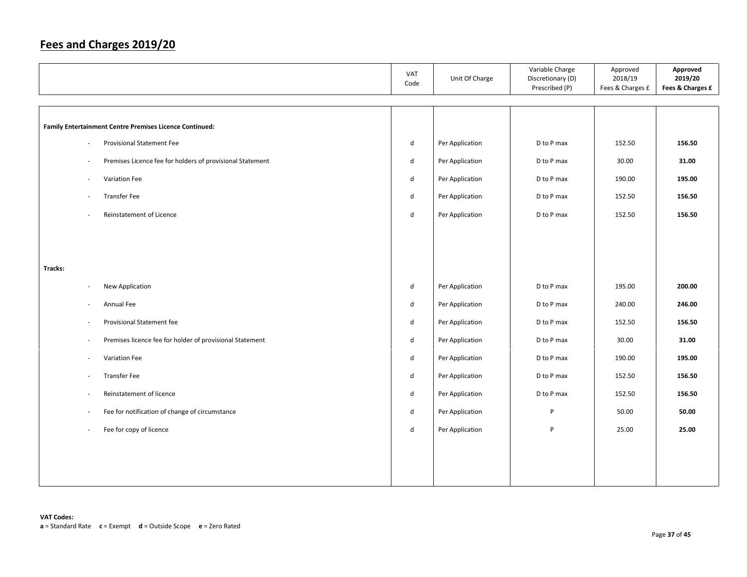|                                                                     | VAT<br>Code  | Unit Of Charge  | Variable Charge<br>Discretionary (D)<br>Prescribed (P) | Approved<br>2018/19<br>Fees & Charges £ | Approved<br>2019/20<br>Fees & Charges £ |
|---------------------------------------------------------------------|--------------|-----------------|--------------------------------------------------------|-----------------------------------------|-----------------------------------------|
|                                                                     |              |                 |                                                        |                                         |                                         |
| Family Entertainment Centre Premises Licence Continued:             |              |                 |                                                        |                                         |                                         |
| <b>Provisional Statement Fee</b><br>$\overline{\phantom{a}}$        | d            | Per Application | D to P max                                             | 152.50                                  | 156.50                                  |
| Premises Licence fee for holders of provisional Statement<br>$\sim$ | d            | Per Application | D to P max                                             | 30.00                                   | 31.00                                   |
| Variation Fee<br>$\sim$                                             | d            | Per Application | D to P max                                             | 190.00                                  | 195.00                                  |
| Transfer Fee<br>$\sim$                                              | d            | Per Application | D to P max                                             | 152.50                                  | 156.50                                  |
| Reinstatement of Licence                                            | d            | Per Application | D to P max                                             | 152.50                                  | 156.50                                  |
|                                                                     |              |                 |                                                        |                                         |                                         |
|                                                                     |              |                 |                                                        |                                         |                                         |
| Tracks:                                                             |              |                 |                                                        |                                         |                                         |
| New Application<br>$\overline{\phantom{a}}$                         | d            | Per Application | D to P max                                             | 195.00                                  | 200.00                                  |
| Annual Fee<br>÷.                                                    | d            | Per Application | D to P max                                             | 240.00                                  | 246.00                                  |
| Provisional Statement fee<br>$\sim$                                 | d            | Per Application | D to P max                                             | 152.50                                  | 156.50                                  |
|                                                                     |              |                 |                                                        |                                         |                                         |
| Premises licence fee for holder of provisional Statement<br>$\sim$  | d            | Per Application | D to P max                                             | 30.00                                   | 31.00                                   |
| Variation Fee<br>$\sim$                                             | $\mathsf{d}$ | Per Application | D to P max                                             | 190.00                                  | 195.00                                  |
| <b>Transfer Fee</b><br>÷.                                           | d            | Per Application | D to P max                                             | 152.50                                  | 156.50                                  |
| Reinstatement of licence<br>$\sim$                                  | d            | Per Application | D to P max                                             | 152.50                                  | 156.50                                  |
| Fee for notification of change of circumstance<br>$\sim$            | $\mathsf{d}$ | Per Application | P                                                      | 50.00                                   | 50.00                                   |
| Fee for copy of licence<br>$\sim$                                   | $\mathsf{d}$ | Per Application | P                                                      | 25.00                                   | 25.00                                   |
|                                                                     |              |                 |                                                        |                                         |                                         |
|                                                                     |              |                 |                                                        |                                         |                                         |
|                                                                     |              |                 |                                                        |                                         |                                         |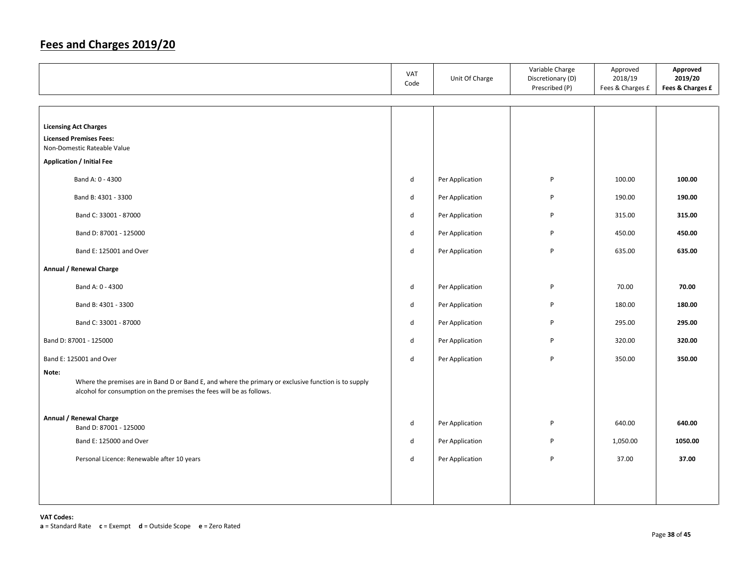|       |                                                                                                                                                                              | VAT<br>Code  | Unit Of Charge  | Variable Charge<br>Discretionary (D)<br>Prescribed (P) | Approved<br>2018/19<br>Fees & Charges £ | Approved<br>2019/20<br>Fees & Charges £ |
|-------|------------------------------------------------------------------------------------------------------------------------------------------------------------------------------|--------------|-----------------|--------------------------------------------------------|-----------------------------------------|-----------------------------------------|
|       |                                                                                                                                                                              |              |                 |                                                        |                                         |                                         |
|       | <b>Licensing Act Charges</b><br><b>Licensed Premises Fees:</b><br>Non-Domestic Rateable Value                                                                                |              |                 |                                                        |                                         |                                         |
|       | <b>Application / Initial Fee</b>                                                                                                                                             |              |                 |                                                        |                                         |                                         |
|       | Band A: 0 - 4300                                                                                                                                                             | d            | Per Application | P                                                      | 100.00                                  | 100.00                                  |
|       | Band B: 4301 - 3300                                                                                                                                                          | d            | Per Application | P                                                      | 190.00                                  | 190.00                                  |
|       | Band C: 33001 - 87000                                                                                                                                                        | d            | Per Application | P                                                      | 315.00                                  | 315.00                                  |
|       | Band D: 87001 - 125000                                                                                                                                                       | d            | Per Application | P                                                      | 450.00                                  | 450.00                                  |
|       | Band E: 125001 and Over                                                                                                                                                      | $\mathsf{d}$ | Per Application | P                                                      | 635.00                                  | 635.00                                  |
|       | Annual / Renewal Charge                                                                                                                                                      |              |                 |                                                        |                                         |                                         |
|       | Band A: 0 - 4300                                                                                                                                                             | $\sf d$      | Per Application | P                                                      | 70.00                                   | 70.00                                   |
|       | Band B: 4301 - 3300                                                                                                                                                          | d            | Per Application | P                                                      | 180.00                                  | 180.00                                  |
|       | Band C: 33001 - 87000                                                                                                                                                        | $\sf d$      | Per Application | P                                                      | 295.00                                  | 295.00                                  |
|       | Band D: 87001 - 125000                                                                                                                                                       | $\mathsf{d}$ | Per Application | P                                                      | 320.00                                  | 320.00                                  |
|       | Band E: 125001 and Over                                                                                                                                                      | d            | Per Application | P                                                      | 350.00                                  | 350.00                                  |
| Note: | Where the premises are in Band D or Band E, and where the primary or exclusive function is to supply<br>alcohol for consumption on the premises the fees will be as follows. |              |                 |                                                        |                                         |                                         |
|       | Annual / Renewal Charge<br>Band D: 87001 - 125000                                                                                                                            | $\mathsf{d}$ | Per Application | P                                                      | 640.00                                  | 640.00                                  |
|       | Band E: 125000 and Over                                                                                                                                                      | d            | Per Application | P                                                      | 1,050.00                                | 1050.00                                 |
|       | Personal Licence: Renewable after 10 years                                                                                                                                   | d            | Per Application | P                                                      | 37.00                                   | 37.00                                   |
|       |                                                                                                                                                                              |              |                 |                                                        |                                         |                                         |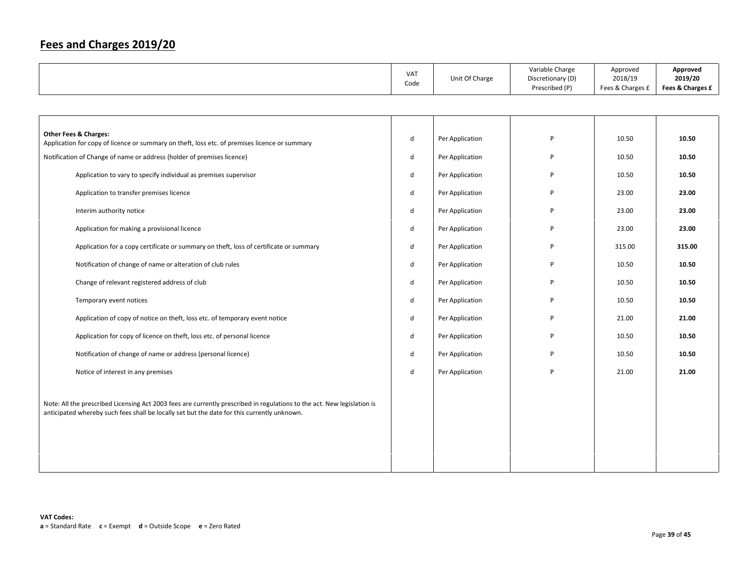|  | <b>VAT</b><br>Code | Unit Of Charge | Variable Charge<br>Discretionary (D)<br>Prescribed (P) | Approved<br>2018/19<br>Fees & Charges £ | Approved<br>2019/20<br>Fees & Charges £ |
|--|--------------------|----------------|--------------------------------------------------------|-----------------------------------------|-----------------------------------------|
|--|--------------------|----------------|--------------------------------------------------------|-----------------------------------------|-----------------------------------------|

| <b>Other Fees &amp; Charges:</b><br>Application for copy of licence or summary on theft, loss etc. of premises licence or summary                                                                                      | d | Per Application | P | 10.50  | 10.50  |
|------------------------------------------------------------------------------------------------------------------------------------------------------------------------------------------------------------------------|---|-----------------|---|--------|--------|
| Notification of Change of name or address (holder of premises licence)                                                                                                                                                 | d | Per Application | P | 10.50  | 10.50  |
| Application to vary to specify individual as premises supervisor                                                                                                                                                       | d | Per Application | P | 10.50  | 10.50  |
| Application to transfer premises licence                                                                                                                                                                               | d | Per Application | P | 23.00  | 23.00  |
| Interim authority notice                                                                                                                                                                                               | d | Per Application | P | 23.00  | 23.00  |
| Application for making a provisional licence                                                                                                                                                                           | d | Per Application | P | 23.00  | 23.00  |
| Application for a copy certificate or summary on theft, loss of certificate or summary                                                                                                                                 | d | Per Application | P | 315.00 | 315.00 |
| Notification of change of name or alteration of club rules                                                                                                                                                             | d | Per Application | P | 10.50  | 10.50  |
| Change of relevant registered address of club                                                                                                                                                                          | d | Per Application | P | 10.50  | 10.50  |
| Temporary event notices                                                                                                                                                                                                | d | Per Application | P | 10.50  | 10.50  |
| Application of copy of notice on theft, loss etc. of temporary event notice                                                                                                                                            | d | Per Application | P | 21.00  | 21.00  |
| Application for copy of licence on theft, loss etc. of personal licence                                                                                                                                                | d | Per Application | P | 10.50  | 10.50  |
| Notification of change of name or address (personal licence)                                                                                                                                                           | d | Per Application | P | 10.50  | 10.50  |
| Notice of interest in any premises                                                                                                                                                                                     | d | Per Application | P | 21.00  | 21.00  |
| Note: All the prescribed Licensing Act 2003 fees are currently prescribed in regulations to the act. New legislation is<br>anticipated whereby such fees shall be locally set but the date for this currently unknown. |   |                 |   |        |        |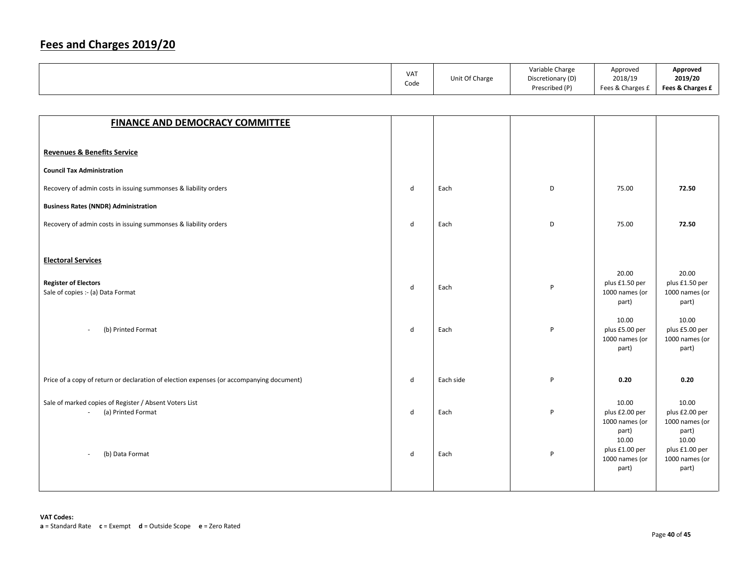|  | <b>VAT</b><br>Code | Unit Of Charge | Variable Charge<br>Discretionary (D)<br>Prescribed (P) | Approved<br>2018/19<br>Fees & Charges £ | Approved<br>2019/20<br>Fees & Charges £ |
|--|--------------------|----------------|--------------------------------------------------------|-----------------------------------------|-----------------------------------------|
|--|--------------------|----------------|--------------------------------------------------------|-----------------------------------------|-----------------------------------------|

| <b>FINANCE AND DEMOCRACY COMMITTEE</b>                                                   |              |           |   |                                                             |                                                             |
|------------------------------------------------------------------------------------------|--------------|-----------|---|-------------------------------------------------------------|-------------------------------------------------------------|
|                                                                                          |              |           |   |                                                             |                                                             |
| <b>Revenues &amp; Benefits Service</b>                                                   |              |           |   |                                                             |                                                             |
| <b>Council Tax Administration</b>                                                        |              |           |   |                                                             |                                                             |
| Recovery of admin costs in issuing summonses & liability orders                          | d            | Each      | D | 75.00                                                       | 72.50                                                       |
| <b>Business Rates (NNDR) Administration</b>                                              |              |           |   |                                                             |                                                             |
| Recovery of admin costs in issuing summonses & liability orders                          | $\mathsf{d}$ | Each      | D | 75.00                                                       | 72.50                                                       |
|                                                                                          |              |           |   |                                                             |                                                             |
| <b>Electoral Services</b>                                                                |              |           |   |                                                             |                                                             |
| <b>Register of Electors</b><br>Sale of copies :- (a) Data Format                         | d            | Each      | P | 20.00<br>plus £1.50 per<br>1000 names (or<br>part)          | 20.00<br>plus £1.50 per<br>1000 names (or<br>part)          |
| (b) Printed Format<br>$\sim$                                                             | d            | Each      | P | 10.00<br>plus £5.00 per<br>1000 names (or<br>part)          | 10.00<br>plus £5.00 per<br>1000 names (or<br>part)          |
| Price of a copy of return or declaration of election expenses (or accompanying document) | d            | Each side | P | 0.20                                                        | 0.20                                                        |
| Sale of marked copies of Register / Absent Voters List<br>(a) Printed Format<br>$\sim$   | d            | Each      | P | 10.00<br>plus £2.00 per<br>1000 names (or<br>part)<br>10.00 | 10.00<br>plus £2.00 per<br>1000 names (or<br>part)<br>10.00 |
| (b) Data Format<br>÷.                                                                    | d            | Each      | P | plus £1.00 per<br>1000 names (or<br>part)                   | plus £1.00 per<br>1000 names (or<br>part)                   |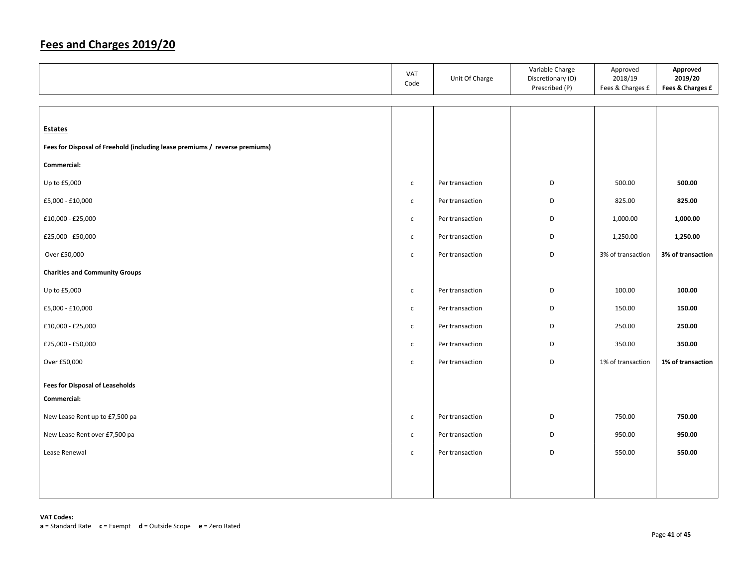|                                                                             | VAT<br>Code  | Unit Of Charge  | Variable Charge<br>Discretionary (D)<br>Prescribed (P) | Approved<br>2018/19<br>Fees & Charges £ | Approved<br>2019/20<br>Fees & Charges £ |
|-----------------------------------------------------------------------------|--------------|-----------------|--------------------------------------------------------|-----------------------------------------|-----------------------------------------|
|                                                                             |              |                 |                                                        |                                         |                                         |
| <b>Estates</b>                                                              |              |                 |                                                        |                                         |                                         |
| Fees for Disposal of Freehold (including lease premiums / reverse premiums) |              |                 |                                                        |                                         |                                         |
| Commercial:                                                                 |              |                 |                                                        |                                         |                                         |
| Up to £5,000                                                                | $\mathsf{c}$ | Per transaction | D                                                      | 500.00                                  | 500.00                                  |
| £5,000 - £10,000                                                            | $\mathsf{C}$ | Per transaction | D                                                      | 825.00                                  | 825.00                                  |
| £10,000 - £25,000                                                           | $\mathsf{C}$ | Per transaction | D                                                      | 1,000.00                                | 1,000.00                                |
| £25,000 - £50,000                                                           | $\mathsf{C}$ | Per transaction | D                                                      | 1,250.00                                | 1,250.00                                |
| Over £50,000                                                                | $\mathsf{C}$ | Per transaction | D                                                      | 3% of transaction                       | 3% of transaction                       |
| <b>Charities and Community Groups</b>                                       |              |                 |                                                        |                                         |                                         |
| Up to £5,000                                                                | $\mathsf{C}$ | Per transaction | D                                                      | 100.00                                  | 100.00                                  |
| £5,000 - £10,000                                                            | $\mathsf{c}$ | Per transaction | D                                                      | 150.00                                  | 150.00                                  |
| £10,000 - £25,000                                                           | $\mathsf{C}$ | Per transaction | D                                                      | 250.00                                  | 250.00                                  |
| £25,000 - £50,000                                                           | $\mathsf{c}$ | Per transaction | D                                                      | 350.00                                  | 350.00                                  |
| Over £50,000                                                                | $\mathsf{C}$ | Per transaction | D                                                      | 1% of transaction                       | 1% of transaction                       |
| <b>Fees for Disposal of Leaseholds</b>                                      |              |                 |                                                        |                                         |                                         |
| Commercial:                                                                 |              |                 |                                                        |                                         |                                         |
| New Lease Rent up to £7,500 pa                                              | $\mathsf{C}$ | Per transaction | D                                                      | 750.00                                  | 750.00                                  |
| New Lease Rent over £7,500 pa                                               | $\mathsf{C}$ | Per transaction | D                                                      | 950.00                                  | 950.00                                  |
| Lease Renewal                                                               | $\mathsf{C}$ | Per transaction | D                                                      | 550.00                                  | 550.00                                  |
|                                                                             |              |                 |                                                        |                                         |                                         |
|                                                                             |              |                 |                                                        |                                         |                                         |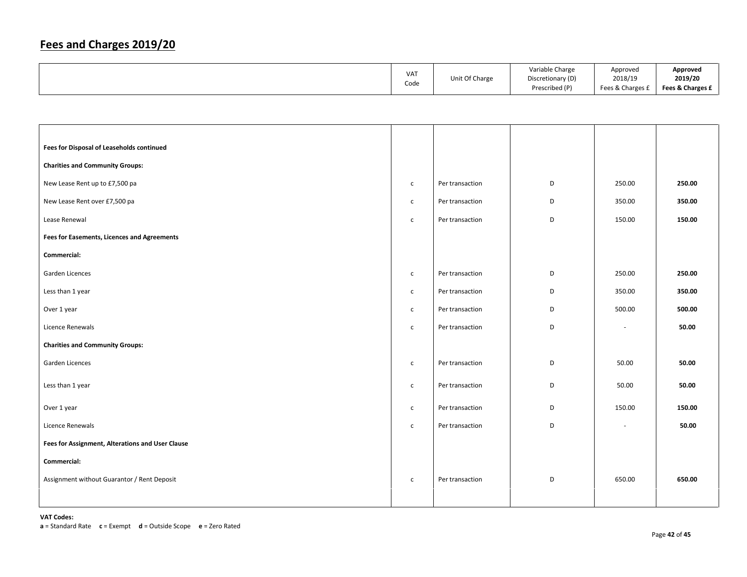| Code<br>Prescribed (P)<br>Fees & Charges £ |  | <b>VAT</b> | Unit Of Charge | Variable Charge<br>Discretionary (D) | Approved<br>2018/19 | Approved<br>2019/20<br>Fees & Charges £ |
|--------------------------------------------|--|------------|----------------|--------------------------------------|---------------------|-----------------------------------------|
|--------------------------------------------|--|------------|----------------|--------------------------------------|---------------------|-----------------------------------------|

| Fees for Disposal of Leaseholds continued          |              |                 |   |                          |        |
|----------------------------------------------------|--------------|-----------------|---|--------------------------|--------|
| <b>Charities and Community Groups:</b>             |              |                 |   |                          |        |
| New Lease Rent up to £7,500 pa                     | $\mathsf{C}$ | Per transaction | D | 250.00                   | 250.00 |
| New Lease Rent over £7,500 pa                      | $\mathsf{C}$ | Per transaction | D | 350.00                   | 350.00 |
| Lease Renewal                                      | $\mathsf{c}$ | Per transaction | D | 150.00                   | 150.00 |
| <b>Fees for Easements, Licences and Agreements</b> |              |                 |   |                          |        |
| Commercial:                                        |              |                 |   |                          |        |
| Garden Licences                                    | $\mathsf{C}$ | Per transaction | D | 250.00                   | 250.00 |
| Less than 1 year                                   | $\mathsf{C}$ | Per transaction | D | 350.00                   | 350.00 |
| Over 1 year                                        | $\mathsf{C}$ | Per transaction | D | 500.00                   | 500.00 |
| Licence Renewals                                   | $\mathsf{c}$ | Per transaction | D | $\overline{\phantom{a}}$ | 50.00  |
| <b>Charities and Community Groups:</b>             |              |                 |   |                          |        |
| Garden Licences                                    | $\mathsf{C}$ | Per transaction | D | 50.00                    | 50.00  |
| Less than 1 year                                   | $\mathsf{C}$ | Per transaction | D | 50.00                    | 50.00  |
| Over 1 year                                        | $\mathsf{C}$ | Per transaction | D | 150.00                   | 150.00 |
| Licence Renewals                                   | $\mathsf{C}$ | Per transaction | D | $\overline{\phantom{a}}$ | 50.00  |
| Fees for Assignment, Alterations and User Clause   |              |                 |   |                          |        |
| Commercial:                                        |              |                 |   |                          |        |
| Assignment without Guarantor / Rent Deposit        | $\mathsf{C}$ | Per transaction | D | 650.00                   | 650.00 |
|                                                    |              |                 |   |                          |        |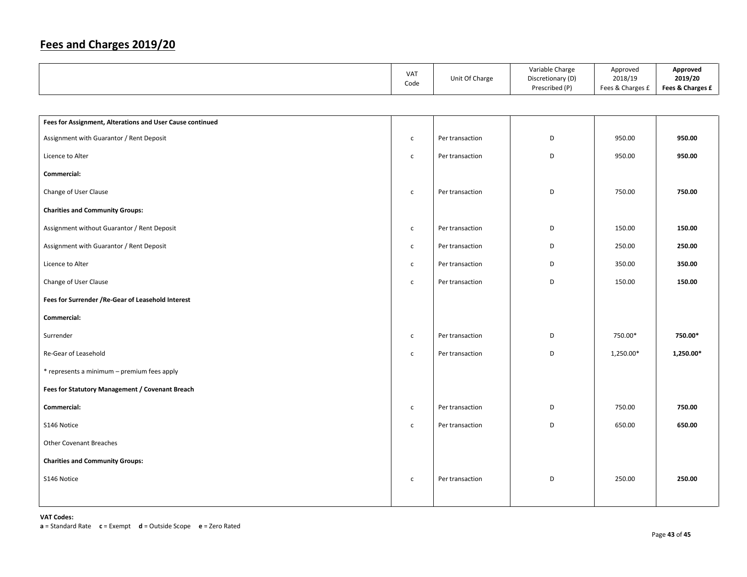|                                                           | VAT<br>Code  | Unit Of Charge  | Variable Charge<br>Discretionary (D)<br>Prescribed (P) | Approved<br>2018/19<br>Fees & Charges £ | Approved<br>2019/20<br>Fees & Charges £ |
|-----------------------------------------------------------|--------------|-----------------|--------------------------------------------------------|-----------------------------------------|-----------------------------------------|
|                                                           |              |                 |                                                        |                                         |                                         |
| Fees for Assignment, Alterations and User Cause continued |              |                 |                                                        |                                         |                                         |
| Assignment with Guarantor / Rent Deposit                  | $\mathsf{C}$ | Per transaction | D                                                      | 950.00                                  | 950.00                                  |
| Licence to Alter                                          | $\mathsf{C}$ | Per transaction | D                                                      | 950.00                                  | 950.00                                  |
| Commercial:                                               |              |                 |                                                        |                                         |                                         |
| Change of User Clause                                     | $\mathsf{C}$ | Per transaction | D                                                      | 750.00                                  | 750.00                                  |
| <b>Charities and Community Groups:</b>                    |              |                 |                                                        |                                         |                                         |
| Assignment without Guarantor / Rent Deposit               | $\mathsf{C}$ | Per transaction | D                                                      | 150.00                                  | 150.00                                  |
| Assignment with Guarantor / Rent Deposit                  | $\mathsf{c}$ | Per transaction | D                                                      | 250.00                                  | 250.00                                  |
| Licence to Alter                                          | $\mathsf{C}$ | Per transaction | D                                                      | 350.00                                  | 350.00                                  |
| Change of User Clause                                     | $\mathsf{C}$ | Per transaction | D                                                      | 150.00                                  | 150.00                                  |
| Fees for Surrender / Re-Gear of Leasehold Interest        |              |                 |                                                        |                                         |                                         |
| Commercial:                                               |              |                 |                                                        |                                         |                                         |
| Surrender                                                 | $\mathsf{C}$ | Per transaction | D                                                      | 750.00*                                 | 750.00*                                 |
| Re-Gear of Leasehold                                      | $\mathsf{C}$ | Per transaction | D                                                      | 1,250.00*                               | 1,250.00*                               |
| * represents a minimum - premium fees apply               |              |                 |                                                        |                                         |                                         |
| Fees for Statutory Management / Covenant Breach           |              |                 |                                                        |                                         |                                         |
| Commercial:                                               | $\mathsf{C}$ | Per transaction | D                                                      | 750.00                                  | 750.00                                  |
| S146 Notice                                               | $\mathsf{c}$ | Per transaction | D                                                      | 650.00                                  | 650.00                                  |
| <b>Other Covenant Breaches</b>                            |              |                 |                                                        |                                         |                                         |
| <b>Charities and Community Groups:</b>                    |              |                 |                                                        |                                         |                                         |
| S146 Notice                                               | $\mathsf{C}$ | Per transaction | D                                                      | 250.00                                  | 250.00                                  |
|                                                           |              |                 |                                                        |                                         |                                         |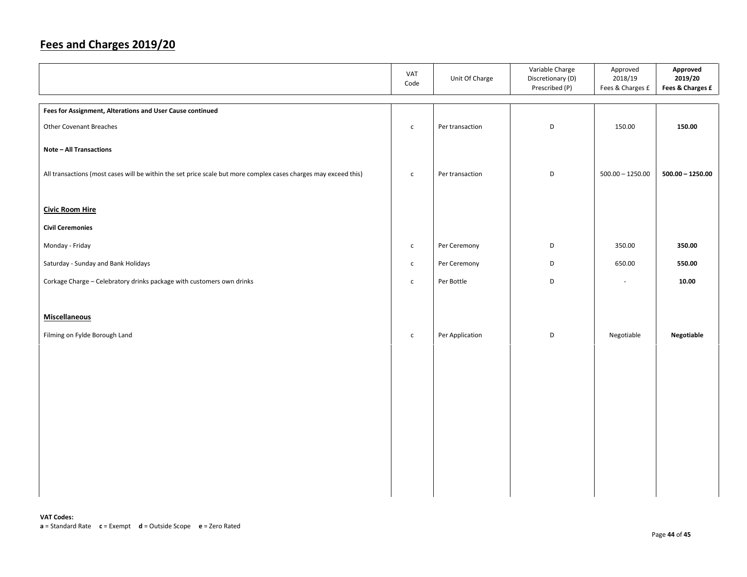|                                                                                                                 | VAT<br>Code  | Unit Of Charge  | Variable Charge<br>Discretionary (D)<br>Prescribed (P) | Approved<br>2018/19<br>Fees & Charges £ | Approved<br>2019/20<br>Fees & Charges £ |
|-----------------------------------------------------------------------------------------------------------------|--------------|-----------------|--------------------------------------------------------|-----------------------------------------|-----------------------------------------|
| Fees for Assignment, Alterations and User Cause continued                                                       |              |                 |                                                        |                                         |                                         |
| <b>Other Covenant Breaches</b>                                                                                  | $\mathsf{C}$ | Per transaction | D                                                      | 150.00                                  | 150.00                                  |
| <b>Note - All Transactions</b>                                                                                  |              |                 |                                                        |                                         |                                         |
| All transactions (most cases will be within the set price scale but more complex cases charges may exceed this) | $\mathsf{c}$ | Per transaction | D                                                      | $500.00 - 1250.00$                      | $500.00 - 1250.00$                      |
| <b>Civic Room Hire</b>                                                                                          |              |                 |                                                        |                                         |                                         |
| <b>Civil Ceremonies</b>                                                                                         |              |                 |                                                        |                                         |                                         |
| Monday - Friday                                                                                                 | $\mathsf{C}$ | Per Ceremony    | D                                                      | 350.00                                  | 350.00                                  |
| Saturday - Sunday and Bank Holidays                                                                             | $\mathsf{C}$ | Per Ceremony    | D                                                      | 650.00                                  | 550.00                                  |
| Corkage Charge - Celebratory drinks package with customers own drinks                                           | $\mathsf{c}$ | Per Bottle      | D                                                      | $\sim$                                  | 10.00                                   |
|                                                                                                                 |              |                 |                                                        |                                         |                                         |
| <b>Miscellaneous</b>                                                                                            |              |                 |                                                        |                                         |                                         |
| Filming on Fylde Borough Land                                                                                   | $\mathsf{C}$ | Per Application | D                                                      | Negotiable                              | Negotiable                              |
|                                                                                                                 |              |                 |                                                        |                                         |                                         |
|                                                                                                                 |              |                 |                                                        |                                         |                                         |
|                                                                                                                 |              |                 |                                                        |                                         |                                         |
|                                                                                                                 |              |                 |                                                        |                                         |                                         |
|                                                                                                                 |              |                 |                                                        |                                         |                                         |
|                                                                                                                 |              |                 |                                                        |                                         |                                         |
|                                                                                                                 |              |                 |                                                        |                                         |                                         |
|                                                                                                                 |              |                 |                                                        |                                         |                                         |
|                                                                                                                 |              |                 |                                                        |                                         |                                         |